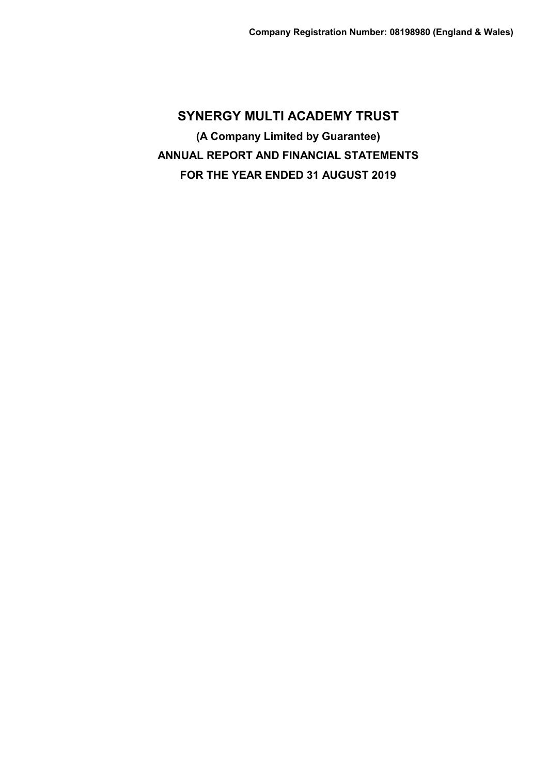**SYNERGY MULTI ACADEMY TRUST (A Company Limited by Guarantee) ANNUAL REPORT AND FINANCIAL STATEMENTS FOR THE YEAR ENDED 31 AUGUST 2019**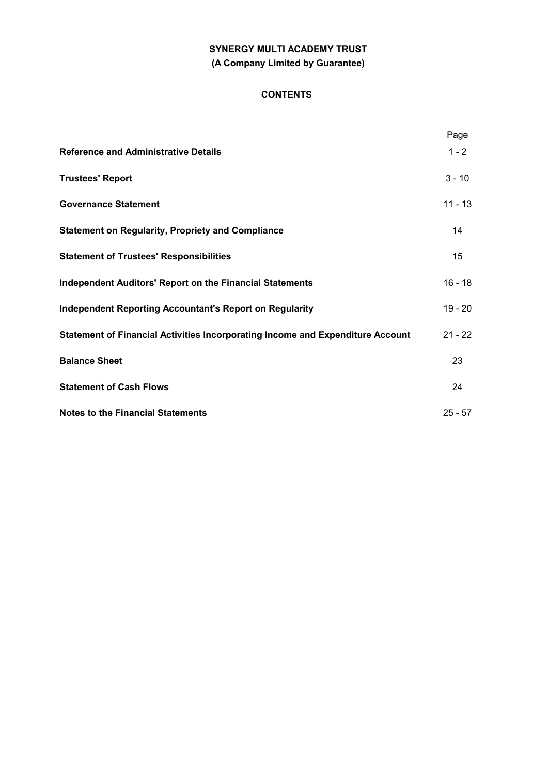# **SYNERGY MULTI ACADEMY TRUST (A Company Limited by Guarantee)**

# **CONTENTS**

|                                                                                | Page      |
|--------------------------------------------------------------------------------|-----------|
| <b>Reference and Administrative Details</b>                                    | $1 - 2$   |
| <b>Trustees' Report</b>                                                        | $3 - 10$  |
| <b>Governance Statement</b>                                                    | $11 - 13$ |
| <b>Statement on Regularity, Propriety and Compliance</b>                       | 14        |
| <b>Statement of Trustees' Responsibilities</b>                                 | 15        |
| <b>Independent Auditors' Report on the Financial Statements</b>                | $16 - 18$ |
| <b>Independent Reporting Accountant's Report on Regularity</b>                 | $19 - 20$ |
| Statement of Financial Activities Incorporating Income and Expenditure Account | $21 - 22$ |
| <b>Balance Sheet</b>                                                           | 23        |
| <b>Statement of Cash Flows</b>                                                 | 24        |
| <b>Notes to the Financial Statements</b>                                       | $25 - 57$ |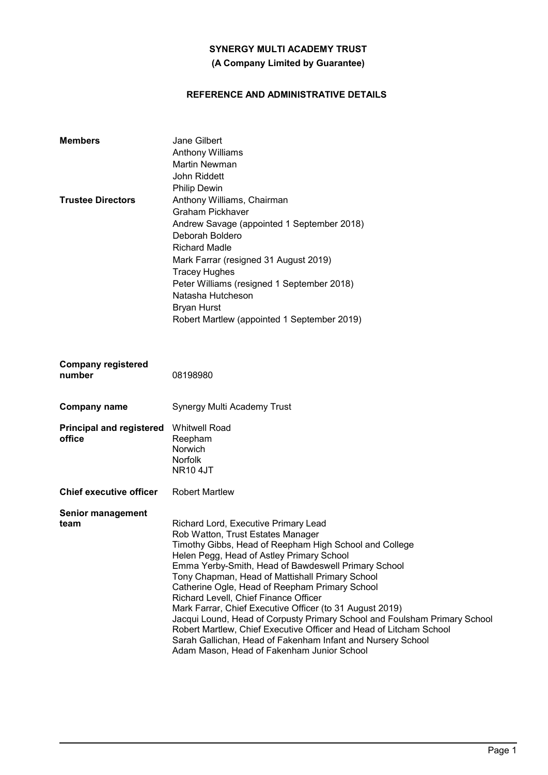# **(A Company Limited by Guarantee)**

# **REFERENCE AND ADMINISTRATIVE DETAILS**

| <b>Members</b><br><b>Trustee Directors</b> | Jane Gilbert<br><b>Anthony Williams</b><br><b>Martin Newman</b><br><b>John Riddett</b><br><b>Philip Dewin</b><br>Anthony Williams, Chairman<br><b>Graham Pickhaver</b><br>Andrew Savage (appointed 1 September 2018)<br>Deborah Boldero<br><b>Richard Madle</b><br>Mark Farrar (resigned 31 August 2019)<br><b>Tracey Hughes</b><br>Peter Williams (resigned 1 September 2018)<br>Natasha Hutcheson<br><b>Bryan Hurst</b>                                                                                                                                                                                                                                                                                         |
|--------------------------------------------|-------------------------------------------------------------------------------------------------------------------------------------------------------------------------------------------------------------------------------------------------------------------------------------------------------------------------------------------------------------------------------------------------------------------------------------------------------------------------------------------------------------------------------------------------------------------------------------------------------------------------------------------------------------------------------------------------------------------|
|                                            | Robert Martlew (appointed 1 September 2019)                                                                                                                                                                                                                                                                                                                                                                                                                                                                                                                                                                                                                                                                       |
| <b>Company registered</b><br>number        | 08198980                                                                                                                                                                                                                                                                                                                                                                                                                                                                                                                                                                                                                                                                                                          |
| <b>Company name</b>                        | Synergy Multi Academy Trust                                                                                                                                                                                                                                                                                                                                                                                                                                                                                                                                                                                                                                                                                       |
| <b>Principal and registered</b><br>office  | <b>Whitwell Road</b><br>Reepham<br>Norwich<br><b>Norfolk</b><br><b>NR10 4JT</b>                                                                                                                                                                                                                                                                                                                                                                                                                                                                                                                                                                                                                                   |
| <b>Chief executive officer</b>             | <b>Robert Martlew</b>                                                                                                                                                                                                                                                                                                                                                                                                                                                                                                                                                                                                                                                                                             |
| <b>Senior management</b><br>team           | Richard Lord, Executive Primary Lead<br>Rob Watton, Trust Estates Manager<br>Timothy Gibbs, Head of Reepham High School and College<br>Helen Pegg, Head of Astley Primary School<br>Emma Yerby-Smith, Head of Bawdeswell Primary School<br>Tony Chapman, Head of Mattishall Primary School<br>Catherine Ogle, Head of Reepham Primary School<br>Richard Levell, Chief Finance Officer<br>Mark Farrar, Chief Executive Officer (to 31 August 2019)<br>Jacqui Lound, Head of Corpusty Primary School and Foulsham Primary School<br>Robert Martlew, Chief Executive Officer and Head of Litcham School<br>Sarah Gallichan, Head of Fakenham Infant and Nursery School<br>Adam Mason, Head of Fakenham Junior School |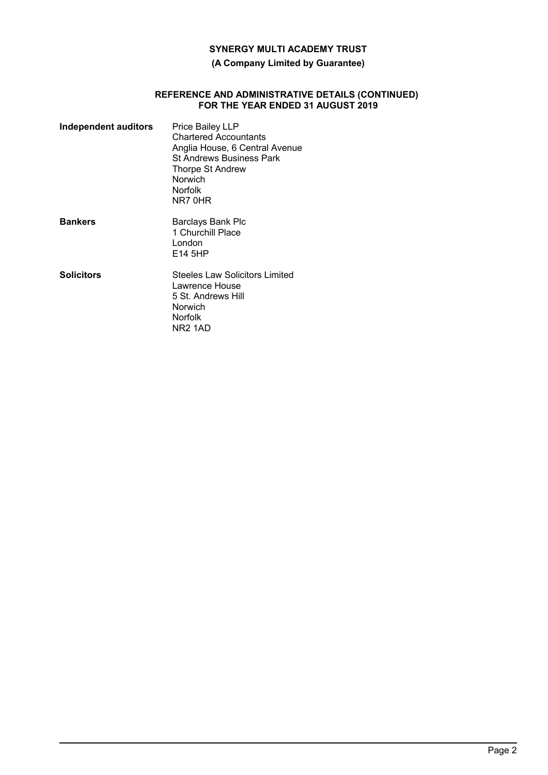# **(A Company Limited by Guarantee)**

#### **REFERENCE AND ADMINISTRATIVE DETAILS (CONTINUED) FOR THE YEAR ENDED 31 AUGUST 2019**

| Independent auditors | Price Bailey LLP<br><b>Chartered Accountants</b><br>Anglia House, 6 Central Avenue<br><b>St Andrews Business Park</b><br><b>Thorpe St Andrew</b><br>Norwich<br><b>Norfolk</b><br>NR7 0HR |
|----------------------|------------------------------------------------------------------------------------------------------------------------------------------------------------------------------------------|
| <b>Bankers</b>       | Barclays Bank Plc<br>1 Churchill Place<br>London<br>E14 5HP                                                                                                                              |
| <b>Solicitors</b>    | Steeles Law Solicitors Limited<br>Lawrence House<br>5 St. Andrews Hill<br>Norwich<br><b>Norfolk</b><br>NR <sub>2</sub> 1AD                                                               |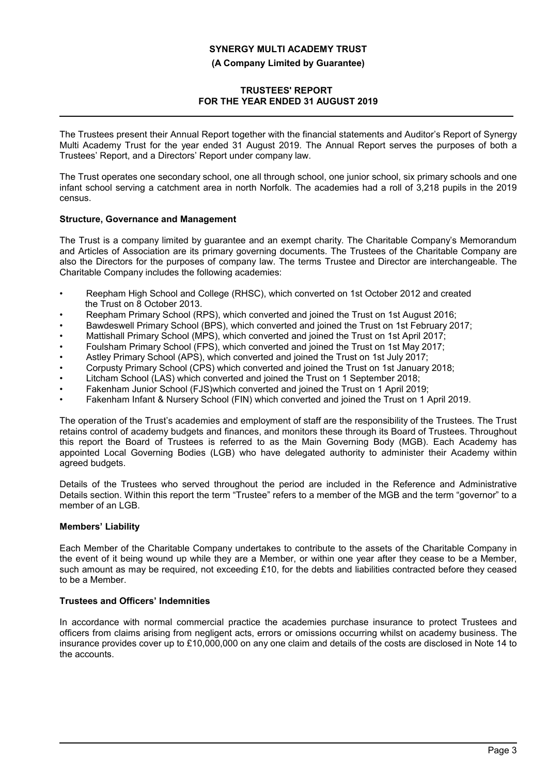**(A Company Limited by Guarantee)**

# **TRUSTEES' REPORT FOR THE YEAR ENDED 31 AUGUST 2019**

The Trustees present their Annual Report together with the financial statements and Auditor's Report of Synergy Multi Academy Trust for the year ended 31 August 2019. The Annual Report serves the purposes of both a Trustees' Report, and a Directors' Report under company law.

The Trust operates one secondary school, one all through school, one junior school, six primary schools and one infant school serving a catchment area in north Norfolk. The academies had a roll of 3,218 pupils in the 2019 census.

# **Structure, Governance and Management**

The Trust is a company limited by guarantee and an exempt charity. The Charitable Company's Memorandum and Articles of Association are its primary governing documents. The Trustees of the Charitable Company are also the Directors for the purposes of company law. The terms Trustee and Director are interchangeable. The Charitable Company includes the following academies:

- Reepham High School and College (RHSC), which converted on 1st October 2012 and created the Trust on 8 October 2013.
- Reepham Primary School (RPS), which converted and joined the Trust on 1st August 2016;
- Bawdeswell Primary School (BPS), which converted and joined the Trust on 1st February 2017;
- Mattishall Primary School (MPS), which converted and joined the Trust on 1st April 2017;
- Foulsham Primary School (FPS), which converted and joined the Trust on 1st May 2017;
- Astley Primary School (APS), which converted and joined the Trust on 1st July 2017;
- Corpusty Primary School (CPS) which converted and joined the Trust on 1st January 2018;
- Litcham School (LAS) which converted and joined the Trust on 1 September 2018;
- Fakenham Junior School (FJS)which converted and joined the Trust on 1 April 2019;
- Fakenham Infant & Nursery School (FIN) which converted and joined the Trust on 1 April 2019.

The operation of the Trust's academies and employment of staff are the responsibility of the Trustees. The Trust retains control of academy budgets and finances, and monitors these through its Board of Trustees. Throughout this report the Board of Trustees is referred to as the Main Governing Body (MGB). Each Academy has appointed Local Governing Bodies (LGB) who have delegated authority to administer their Academy within agreed budgets.

Details of the Trustees who served throughout the period are included in the Reference and Administrative Details section. Within this report the term "Trustee" refers to a member of the MGB and the term "governor" to a member of an LGB.

# **Members' Liability**

Each Member of the Charitable Company undertakes to contribute to the assets of the Charitable Company in the event of it being wound up while they are a Member, or within one year after they cease to be a Member, such amount as may be required, not exceeding £10, for the debts and liabilities contracted before they ceased to be a Member.

# **Trustees and Officers' Indemnities**

In accordance with normal commercial practice the academies purchase insurance to protect Trustees and officers from claims arising from negligent acts, errors or omissions occurring whilst on academy business. The insurance provides cover up to £10,000,000 on any one claim and details of the costs are disclosed in Note 14 to the accounts.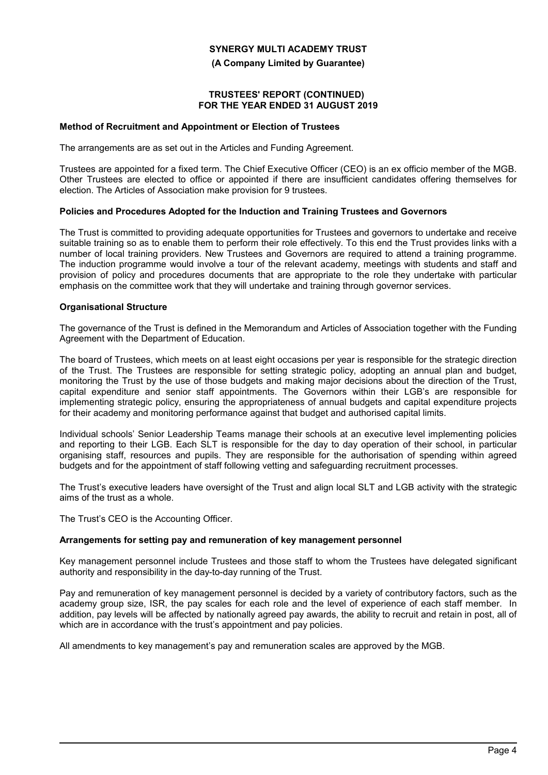**(A Company Limited by Guarantee)**

### **TRUSTEES' REPORT (CONTINUED) FOR THE YEAR ENDED 31 AUGUST 2019**

#### **Method of Recruitment and Appointment or Election of Trustees**

The arrangements are as set out in the Articles and Funding Agreement.

Trustees are appointed for a fixed term. The Chief Executive Officer (CEO) is an ex officio member of the MGB. Other Trustees are elected to office or appointed if there are insufficient candidates offering themselves for election. The Articles of Association make provision for 9 trustees.

## **Policies and Procedures Adopted for the Induction and Training Trustees and Governors**

The Trust is committed to providing adequate opportunities for Trustees and governors to undertake and receive suitable training so as to enable them to perform their role effectively. To this end the Trust provides links with a number of local training providers. New Trustees and Governors are required to attend a training programme. The induction programme would involve a tour of the relevant academy, meetings with students and staff and provision of policy and procedures documents that are appropriate to the role they undertake with particular emphasis on the committee work that they will undertake and training through governor services.

#### **Organisational Structure**

The governance of the Trust is defined in the Memorandum and Articles of Association together with the Funding Agreement with the Department of Education.

The board of Trustees, which meets on at least eight occasions per year is responsible for the strategic direction of the Trust. The Trustees are responsible for setting strategic policy, adopting an annual plan and budget, monitoring the Trust by the use of those budgets and making major decisions about the direction of the Trust, capital expenditure and senior staff appointments. The Governors within their LGB's are responsible for implementing strategic policy, ensuring the appropriateness of annual budgets and capital expenditure projects for their academy and monitoring performance against that budget and authorised capital limits.

Individual schools' Senior Leadership Teams manage their schools at an executive level implementing policies and reporting to their LGB. Each SLT is responsible for the day to day operation of their school, in particular organising staff, resources and pupils. They are responsible for the authorisation of spending within agreed budgets and for the appointment of staff following vetting and safeguarding recruitment processes.

The Trust's executive leaders have oversight of the Trust and align local SLT and LGB activity with the strategic aims of the trust as a whole.

The Trust's CEO is the Accounting Officer.

# **Arrangements for setting pay and remuneration of key management personnel**

Key management personnel include Trustees and those staff to whom the Trustees have delegated significant authority and responsibility in the day-to-day running of the Trust.

Pay and remuneration of key management personnel is decided by a variety of contributory factors, such as the academy group size, ISR, the pay scales for each role and the level of experience of each staff member. In addition, pay levels will be affected by nationally agreed pay awards, the ability to recruit and retain in post, all of which are in accordance with the trust's appointment and pay policies.

All amendments to key management's pay and remuneration scales are approved by the MGB.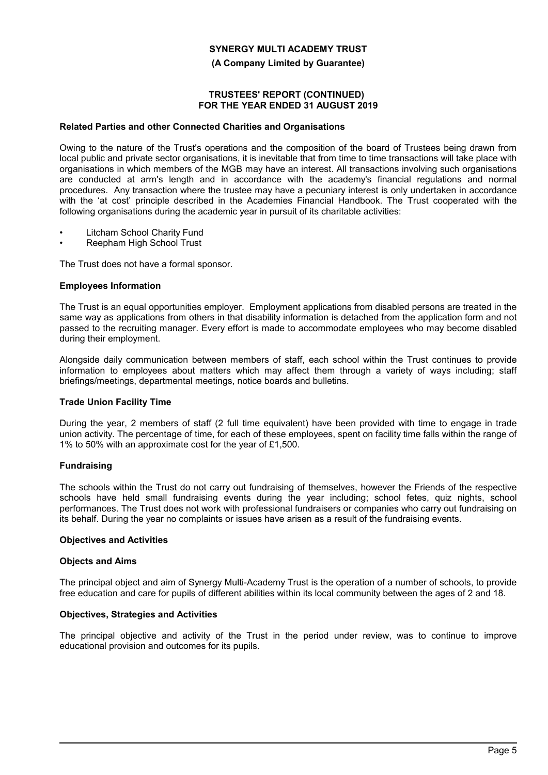**(A Company Limited by Guarantee)**

## **TRUSTEES' REPORT (CONTINUED) FOR THE YEAR ENDED 31 AUGUST 2019**

## **Related Parties and other Connected Charities and Organisations**

Owing to the nature of the Trust's operations and the composition of the board of Trustees being drawn from local public and private sector organisations, it is inevitable that from time to time transactions will take place with organisations in which members of the MGB may have an interest. All transactions involving such organisations are conducted at arm's length and in accordance with the academy's financial regulations and normal procedures. Any transaction where the trustee may have a pecuniary interest is only undertaken in accordance with the 'at cost' principle described in the Academies Financial Handbook. The Trust cooperated with the following organisations during the academic year in pursuit of its charitable activities:

- Litcham School Charity Fund
- Reepham High School Trust

The Trust does not have a formal sponsor.

#### **Employees Information**

The Trust is an equal opportunities employer. Employment applications from disabled persons are treated in the same way as applications from others in that disability information is detached from the application form and not passed to the recruiting manager. Every effort is made to accommodate employees who may become disabled during their employment.

Alongside daily communication between members of staff, each school within the Trust continues to provide information to employees about matters which may affect them through a variety of ways including; staff briefings/meetings, departmental meetings, notice boards and bulletins.

#### **Trade Union Facility Time**

During the year, 2 members of staff (2 full time equivalent) have been provided with time to engage in trade union activity. The percentage of time, for each of these employees, spent on facility time falls within the range of 1% to 50% with an approximate cost for the year of £1,500.

# **Fundraising**

The schools within the Trust do not carry out fundraising of themselves, however the Friends of the respective schools have held small fundraising events during the year including; school fetes, quiz nights, school performances. The Trust does not work with professional fundraisers or companies who carry out fundraising on its behalf. During the year no complaints or issues have arisen as a result of the fundraising events.

#### **Objectives and Activities**

#### **Objects and Aims**

The principal object and aim of Synergy Multi-Academy Trust is the operation of a number of schools, to provide free education and care for pupils of different abilities within its local community between the ages of 2 and 18.

#### **Objectives, Strategies and Activities**

The principal objective and activity of the Trust in the period under review, was to continue to improve educational provision and outcomes for its pupils.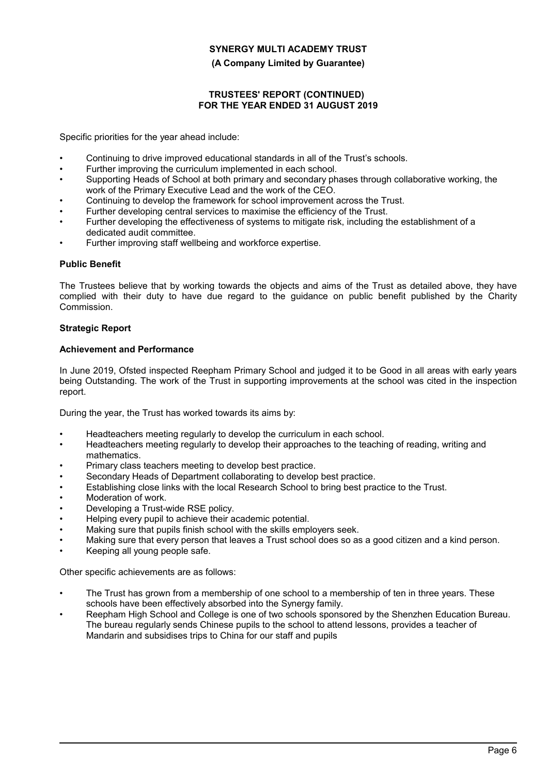## **(A Company Limited by Guarantee)**

## **TRUSTEES' REPORT (CONTINUED) FOR THE YEAR ENDED 31 AUGUST 2019**

Specific priorities for the year ahead include:

- Continuing to drive improved educational standards in all of the Trust's schools.
- Further improving the curriculum implemented in each school.
- Supporting Heads of School at both primary and secondary phases through collaborative working, the work of the Primary Executive Lead and the work of the CEO.
- Continuing to develop the framework for school improvement across the Trust.
- Further developing central services to maximise the efficiency of the Trust.
- Further developing the effectiveness of systems to mitigate risk, including the establishment of a dedicated audit committee.
- Further improving staff wellbeing and workforce expertise.

## **Public Benefit**

The Trustees believe that by working towards the objects and aims of the Trust as detailed above, they have complied with their duty to have due regard to the guidance on public benefit published by the Charity Commission.

## **Strategic Report**

## **Achievement and Performance**

In June 2019, Ofsted inspected Reepham Primary School and judged it to be Good in all areas with early years being Outstanding. The work of the Trust in supporting improvements at the school was cited in the inspection report.

During the year, the Trust has worked towards its aims by:

- Headteachers meeting regularly to develop the curriculum in each school.
- Headteachers meeting regularly to develop their approaches to the teaching of reading, writing and mathematics.
- Primary class teachers meeting to develop best practice.
- Secondary Heads of Department collaborating to develop best practice.
- Establishing close links with the local Research School to bring best practice to the Trust.
- Moderation of work.
- Developing a Trust-wide RSE policy.
- Helping every pupil to achieve their academic potential.
- Making sure that pupils finish school with the skills employers seek.
- Making sure that every person that leaves a Trust school does so as a good citizen and a kind person.
- Keeping all young people safe.

Other specific achievements are as follows:

- The Trust has grown from a membership of one school to a membership of ten in three years. These schools have been effectively absorbed into the Synergy family.
- Reepham High School and College is one of two schools sponsored by the Shenzhen Education Bureau. The bureau regularly sends Chinese pupils to the school to attend lessons, provides a teacher of Mandarin and subsidises trips to China for our staff and pupils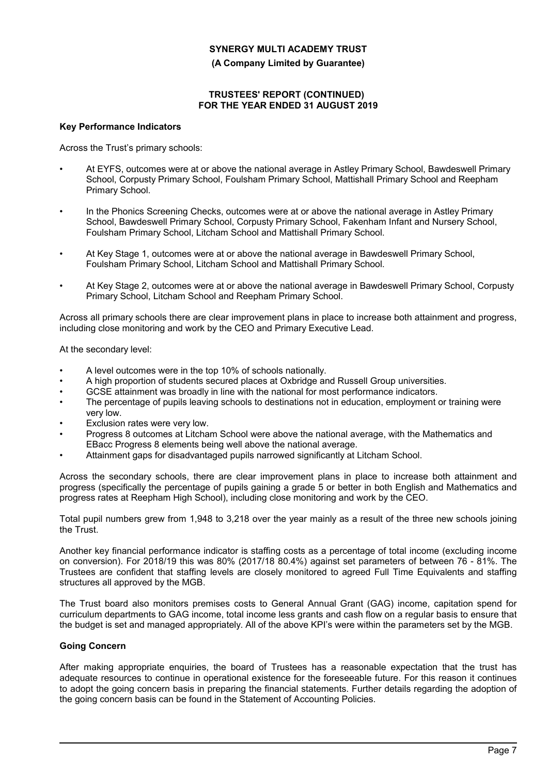**(A Company Limited by Guarantee)**

## **TRUSTEES' REPORT (CONTINUED) FOR THE YEAR ENDED 31 AUGUST 2019**

## **Key Performance Indicators**

Across the Trust's primary schools:

- At EYFS, outcomes were at or above the national average in Astley Primary School, Bawdeswell Primary School, Corpusty Primary School, Foulsham Primary School, Mattishall Primary School and Reepham Primary School.
- In the Phonics Screening Checks, outcomes were at or above the national average in Astley Primary School, Bawdeswell Primary School, Corpusty Primary School, Fakenham Infant and Nursery School, Foulsham Primary School, Litcham School and Mattishall Primary School.
- At Key Stage 1, outcomes were at or above the national average in Bawdeswell Primary School, Foulsham Primary School, Litcham School and Mattishall Primary School.
- At Key Stage 2, outcomes were at or above the national average in Bawdeswell Primary School, Corpusty Primary School, Litcham School and Reepham Primary School.

Across all primary schools there are clear improvement plans in place to increase both attainment and progress, including close monitoring and work by the CEO and Primary Executive Lead.

At the secondary level:

- A level outcomes were in the top 10% of schools nationally.
- A high proportion of students secured places at Oxbridge and Russell Group universities.
- GCSE attainment was broadly in line with the national for most performance indicators.
- The percentage of pupils leaving schools to destinations not in education, employment or training were very low.
- Exclusion rates were very low.
- Progress 8 outcomes at Litcham School were above the national average, with the Mathematics and EBacc Progress 8 elements being well above the national average.
- Attainment gaps for disadvantaged pupils narrowed significantly at Litcham School.

Across the secondary schools, there are clear improvement plans in place to increase both attainment and progress (specifically the percentage of pupils gaining a grade 5 or better in both English and Mathematics and progress rates at Reepham High School), including close monitoring and work by the CEO.

Total pupil numbers grew from 1,948 to 3,218 over the year mainly as a result of the three new schools joining the Trust.

Another key financial performance indicator is staffing costs as a percentage of total income (excluding income on conversion). For 2018/19 this was 80% (2017/18 80.4%) against set parameters of between 76 - 81%. The Trustees are confident that staffing levels are closely monitored to agreed Full Time Equivalents and staffing structures all approved by the MGB.

The Trust board also monitors premises costs to General Annual Grant (GAG) income, capitation spend for curriculum departments to GAG income, total income less grants and cash flow on a regular basis to ensure that the budget is set and managed appropriately. All of the above KPI's were within the parameters set by the MGB.

# **Going Concern**

After making appropriate enquiries, the board of Trustees has a reasonable expectation that the trust has adequate resources to continue in operational existence for the foreseeable future. For this reason it continues to adopt the going concern basis in preparing the financial statements. Further details regarding the adoption of the going concern basis can be found in the Statement of Accounting Policies.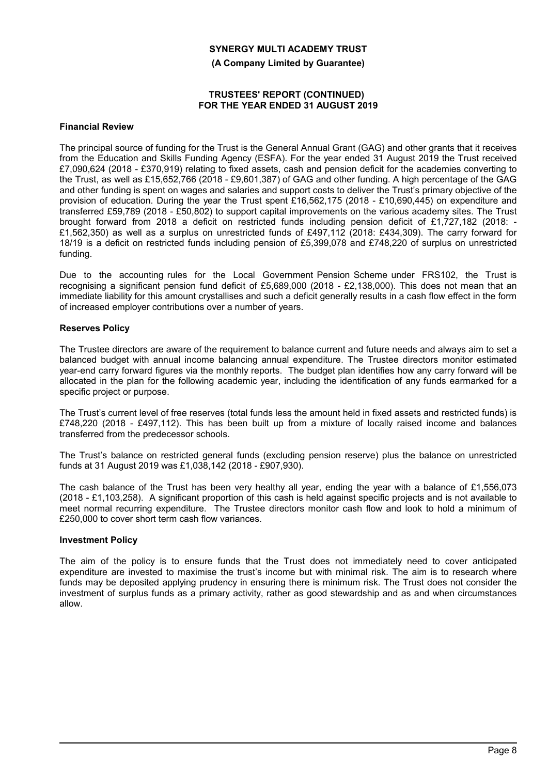**(A Company Limited by Guarantee)**

## **TRUSTEES' REPORT (CONTINUED) FOR THE YEAR ENDED 31 AUGUST 2019**

#### **Financial Review**

The principal source of funding for the Trust is the General Annual Grant (GAG) and other grants that it receives from the Education and Skills Funding Agency (ESFA). For the year ended 31 August 2019 the Trust received £7,090,624 (2018 - £370,919) relating to fixed assets, cash and pension deficit for the academies converting to the Trust, as well as £15,652,766 (2018 - £9,601,387) of GAG and other funding. A high percentage of the GAG and other funding is spent on wages and salaries and support costs to deliver the Trust's primary objective of the provision of education. During the year the Trust spent £16,562,175 (2018 - £10,690,445) on expenditure and transferred £59,789 (2018 - £50,802) to support capital improvements on the various academy sites. The Trust brought forward from 2018 a deficit on restricted funds including pension deficit of £1,727,182 (2018: - £1,562,350) as well as a surplus on unrestricted funds of £497,112 (2018: £434,309). The carry forward for 18/19 is a deficit on restricted funds including pension of £5,399,078 and £748,220 of surplus on unrestricted funding.

Due to the accounting rules for the Local Government Pension Scheme under FRS102, the Trust is recognising a significant pension fund deficit of £5,689,000 (2018 - £2,138,000). This does not mean that an immediate liability for this amount crystallises and such a deficit generally results in a cash flow effect in the form of increased employer contributions over a number of years.

## **Reserves Policy**

The Trustee directors are aware of the requirement to balance current and future needs and always aim to set a balanced budget with annual income balancing annual expenditure. The Trustee directors monitor estimated year-end carry forward figures via the monthly reports. The budget plan identifies how any carry forward will be allocated in the plan for the following academic year, including the identification of any funds earmarked for a specific project or purpose.

The Trust's current level of free reserves (total funds less the amount held in fixed assets and restricted funds) is £748,220 (2018 - £497,112). This has been built up from a mixture of locally raised income and balances transferred from the predecessor schools.

The Trust's balance on restricted general funds (excluding pension reserve) plus the balance on unrestricted funds at 31 August 2019 was £1,038,142 (2018 - £907,930).

The cash balance of the Trust has been very healthy all year, ending the year with a balance of £1,556,073 (2018 - £1,103,258). A significant proportion of this cash is held against specific projects and is not available to meet normal recurring expenditure. The Trustee directors monitor cash flow and look to hold a minimum of £250,000 to cover short term cash flow variances.

#### **Investment Policy**

The aim of the policy is to ensure funds that the Trust does not immediately need to cover anticipated expenditure are invested to maximise the trust's income but with minimal risk. The aim is to research where funds may be deposited applying prudency in ensuring there is minimum risk. The Trust does not consider the investment of surplus funds as a primary activity, rather as good stewardship and as and when circumstances allow.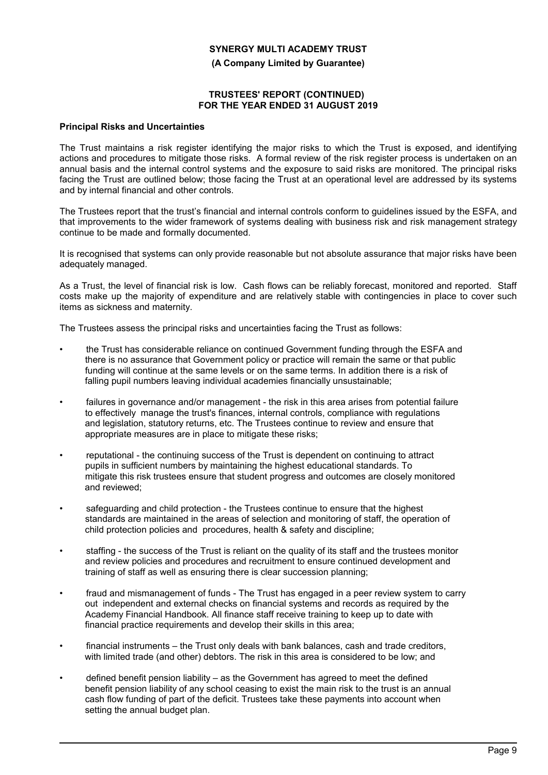**(A Company Limited by Guarantee)**

## **TRUSTEES' REPORT (CONTINUED) FOR THE YEAR ENDED 31 AUGUST 2019**

#### **Principal Risks and Uncertainties**

The Trust maintains a risk register identifying the major risks to which the Trust is exposed, and identifying actions and procedures to mitigate those risks. A formal review of the risk register process is undertaken on an annual basis and the internal control systems and the exposure to said risks are monitored. The principal risks facing the Trust are outlined below; those facing the Trust at an operational level are addressed by its systems and by internal financial and other controls.

The Trustees report that the trust's financial and internal controls conform to guidelines issued by the ESFA, and that improvements to the wider framework of systems dealing with business risk and risk management strategy continue to be made and formally documented.

It is recognised that systems can only provide reasonable but not absolute assurance that major risks have been adequately managed.

As a Trust, the level of financial risk is low. Cash flows can be reliably forecast, monitored and reported. Staff costs make up the majority of expenditure and are relatively stable with contingencies in place to cover such items as sickness and maternity.

The Trustees assess the principal risks and uncertainties facing the Trust as follows:

- the Trust has considerable reliance on continued Government funding through the ESFA and there is no assurance that Government policy or practice will remain the same or that public funding will continue at the same levels or on the same terms. In addition there is a risk of falling pupil numbers leaving individual academies financially unsustainable;
- failures in governance and/or management the risk in this area arises from potential failure to effectively manage the trust's finances, internal controls, compliance with regulations and legislation, statutory returns, etc. The Trustees continue to review and ensure that appropriate measures are in place to mitigate these risks;
- reputational the continuing success of the Trust is dependent on continuing to attract pupils in sufficient numbers by maintaining the highest educational standards. To mitigate this risk trustees ensure that student progress and outcomes are closely monitored and reviewed;
- safeguarding and child protection the Trustees continue to ensure that the highest standards are maintained in the areas of selection and monitoring of staff, the operation of child protection policies and procedures, health & safety and discipline;
- staffing the success of the Trust is reliant on the quality of its staff and the trustees monitor and review policies and procedures and recruitment to ensure continued development and training of staff as well as ensuring there is clear succession planning;
- fraud and mismanagement of funds The Trust has engaged in a peer review system to carry out independent and external checks on financial systems and records as required by the Academy Financial Handbook. All finance staff receive training to keep up to date with financial practice requirements and develop their skills in this area;
- financial instruments the Trust only deals with bank balances, cash and trade creditors, with limited trade (and other) debtors. The risk in this area is considered to be low; and
- defined benefit pension liability as the Government has agreed to meet the defined benefit pension liability of any school ceasing to exist the main risk to the trust is an annual cash flow funding of part of the deficit. Trustees take these payments into account when setting the annual budget plan.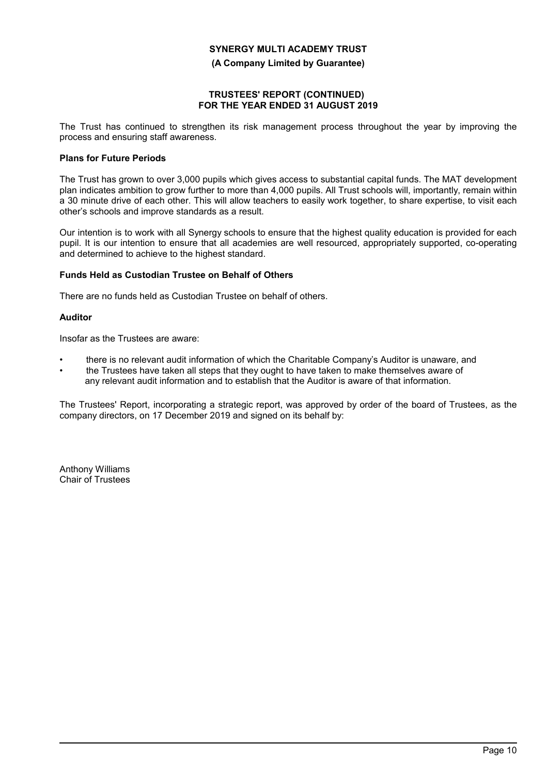**(A Company Limited by Guarantee)**

## **TRUSTEES' REPORT (CONTINUED) FOR THE YEAR ENDED 31 AUGUST 2019**

The Trust has continued to strengthen its risk management process throughout the year by improving the process and ensuring staff awareness.

# **Plans for Future Periods**

The Trust has grown to over 3,000 pupils which gives access to substantial capital funds. The MAT development plan indicates ambition to grow further to more than 4,000 pupils. All Trust schools will, importantly, remain within a 30 minute drive of each other. This will allow teachers to easily work together, to share expertise, to visit each other's schools and improve standards as a result.

Our intention is to work with all Synergy schools to ensure that the highest quality education is provided for each pupil. It is our intention to ensure that all academies are well resourced, appropriately supported, co-operating and determined to achieve to the highest standard.

# **Funds Held as Custodian Trustee on Behalf of Others**

There are no funds held as Custodian Trustee on behalf of others.

# **Auditor**

Insofar as the Trustees are aware:

- there is no relevant audit information of which the Charitable Company's Auditor is unaware, and
- the Trustees have taken all steps that they ought to have taken to make themselves aware of any relevant audit information and to establish that the Auditor is aware of that information.

The Trustees' Report, incorporating a strategic report, was approved by order of the board of Trustees, as the company directors, on 17 December 2019 and signed on its behalf by:

Anthony Williams Chair of Trustees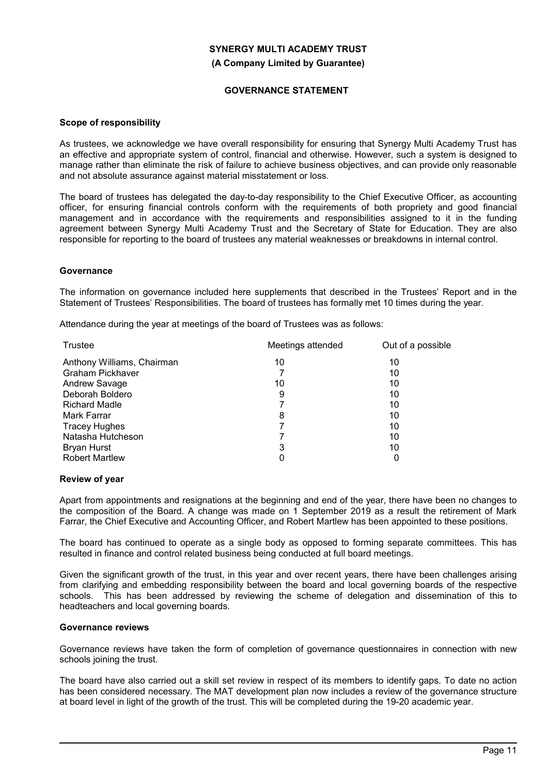**(A Company Limited by Guarantee)**

## **GOVERNANCE STATEMENT**

#### **Scope of responsibility**

As trustees, we acknowledge we have overall responsibility for ensuring that Synergy Multi Academy Trust has an effective and appropriate system of control, financial and otherwise. However, such a system is designed to manage rather than eliminate the risk of failure to achieve business objectives, and can provide only reasonable and not absolute assurance against material misstatement or loss.

The board of trustees has delegated the day-to-day responsibility to the Chief Executive Officer, as accounting officer, for ensuring financial controls conform with the requirements of both propriety and good financial management and in accordance with the requirements and responsibilities assigned to it in the funding agreement between Synergy Multi Academy Trust and the Secretary of State for Education. They are also responsible for reporting to the board of trustees any material weaknesses or breakdowns in internal control.

#### **Governance**

The information on governance included here supplements that described in the Trustees' Report and in the Statement of Trustees' Responsibilities. The board of trustees has formally met 10 times during the year.

Attendance during the year at meetings of the board of Trustees was as follows:

| Meetings attended | Out of a possible |
|-------------------|-------------------|
| 10                | 10                |
|                   | 10                |
| 10                | 10                |
| 9                 | 10                |
|                   | 10                |
| 8                 | 10                |
|                   | 10                |
|                   | 10                |
| 3                 | 10                |
| 0                 |                   |
|                   |                   |

#### **Review of year**

Apart from appointments and resignations at the beginning and end of the year, there have been no changes to the composition of the Board. A change was made on 1 September 2019 as a result the retirement of Mark Farrar, the Chief Executive and Accounting Officer, and Robert Martlew has been appointed to these positions.

The board has continued to operate as a single body as opposed to forming separate committees. This has resulted in finance and control related business being conducted at full board meetings.

Given the significant growth of the trust, in this year and over recent years, there have been challenges arising from clarifying and embedding responsibility between the board and local governing boards of the respective schools. This has been addressed by reviewing the scheme of delegation and dissemination of this to headteachers and local governing boards.

#### **Governance reviews**

Governance reviews have taken the form of completion of governance questionnaires in connection with new schools joining the trust.

The board have also carried out a skill set review in respect of its members to identify gaps. To date no action has been considered necessary. The MAT development plan now includes a review of the governance structure at board level in light of the growth of the trust. This will be completed during the 19-20 academic year.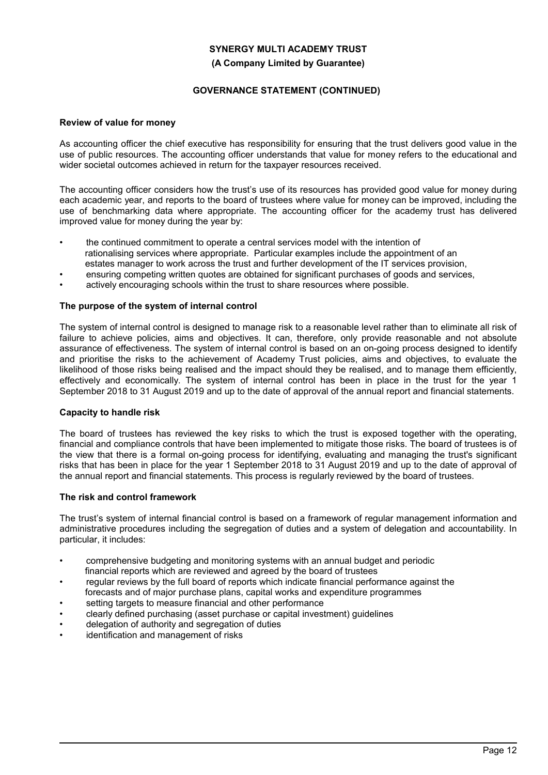## **(A Company Limited by Guarantee)**

# **GOVERNANCE STATEMENT (CONTINUED)**

## **Review of value for money**

As accounting officer the chief executive has responsibility for ensuring that the trust delivers good value in the use of public resources. The accounting officer understands that value for money refers to the educational and wider societal outcomes achieved in return for the taxpayer resources received.

The accounting officer considers how the trust's use of its resources has provided good value for money during each academic year, and reports to the board of trustees where value for money can be improved, including the use of benchmarking data where appropriate. The accounting officer for the academy trust has delivered improved value for money during the year by:

- the continued commitment to operate a central services model with the intention of rationalising services where appropriate. Particular examples include the appointment of an estates manager to work across the trust and further development of the IT services provision,
- ensuring competing written quotes are obtained for significant purchases of goods and services,
- actively encouraging schools within the trust to share resources where possible.

## **The purpose of the system of internal control**

The system of internal control is designed to manage risk to a reasonable level rather than to eliminate all risk of failure to achieve policies, aims and objectives. It can, therefore, only provide reasonable and not absolute assurance of effectiveness. The system of internal control is based on an on-going process designed to identify and prioritise the risks to the achievement of Academy Trust policies, aims and objectives, to evaluate the likelihood of those risks being realised and the impact should they be realised, and to manage them efficiently, effectively and economically. The system of internal control has been in place in the trust for the year 1 September 2018 to 31 August 2019 and up to the date of approval of the annual report and financial statements.

#### **Capacity to handle risk**

The board of trustees has reviewed the key risks to which the trust is exposed together with the operating, financial and compliance controls that have been implemented to mitigate those risks. The board of trustees is of the view that there is a formal on-going process for identifying, evaluating and managing the trust's significant risks that has been in place for the year 1 September 2018 to 31 August 2019 and up to the date of approval of the annual report and financial statements. This process is regularly reviewed by the board of trustees.

# **The risk and control framework**

The trust's system of internal financial control is based on a framework of regular management information and administrative procedures including the segregation of duties and a system of delegation and accountability. In particular, it includes:

- comprehensive budgeting and monitoring systems with an annual budget and periodic financial reports which are reviewed and agreed by the board of trustees
- regular reviews by the full board of reports which indicate financial performance against the forecasts and of major purchase plans, capital works and expenditure programmes
- setting targets to measure financial and other performance
- clearly defined purchasing (asset purchase or capital investment) guidelines
- delegation of authority and segregation of duties
- identification and management of risks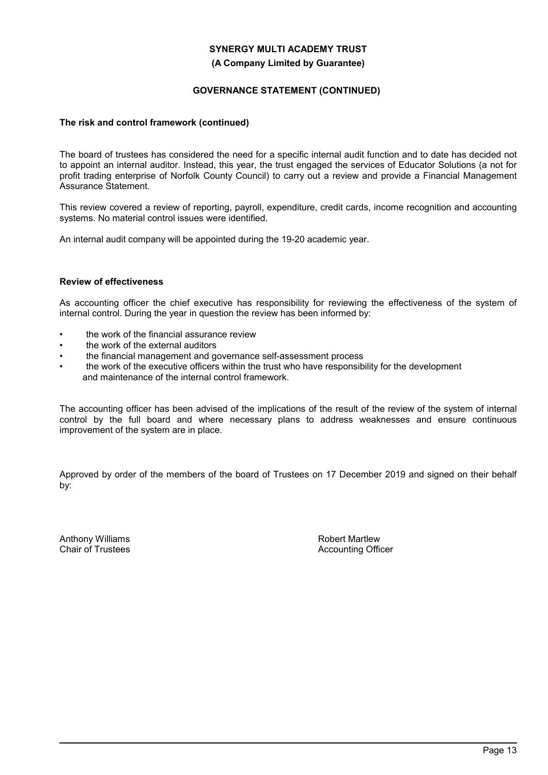## **(A Company Limited by Guarantee)**

# **GOVERNANCE STATEMENT (CONTINUED)**

## **The risk and control framework (continued)**

The board of trustees has considered the need for a specific internal audit function and to date has decided not to appoint an internal auditor. Instead, this year, the trust engaged the services of Educator Solutions (a not for profit trading enterprise of Norfolk County Council) to carry out a review and provide a Financial Management Assurance Statement.

This review covered a review of reporting, payroll, expenditure, credit cards, income recognition and accounting systems. No material control issues were identified.

An internal audit company will be appointed during the 19-20 academic year.

## **Review of effectiveness**

As accounting officer the chief executive has responsibility for reviewing the effectiveness of the system of internal control. During the year in question the review has been informed by:

- the work of the financial assurance review
- the work of the external auditors
- the financial management and governance self-assessment process
- the work of the executive officers within the trust who have responsibility for the development and maintenance of the internal control framework.

The accounting officer has been advised of the implications of the result of the review of the system of internal control by the full board and where necessary plans to address weaknesses and ensure continuous improvement of the system are in place.

Approved by order of the members of the board of Trustees on 17 December 2019 and signed on their behalf by:

Anthony Williams Chair of Trustees

Robert Martlew Accounting Officer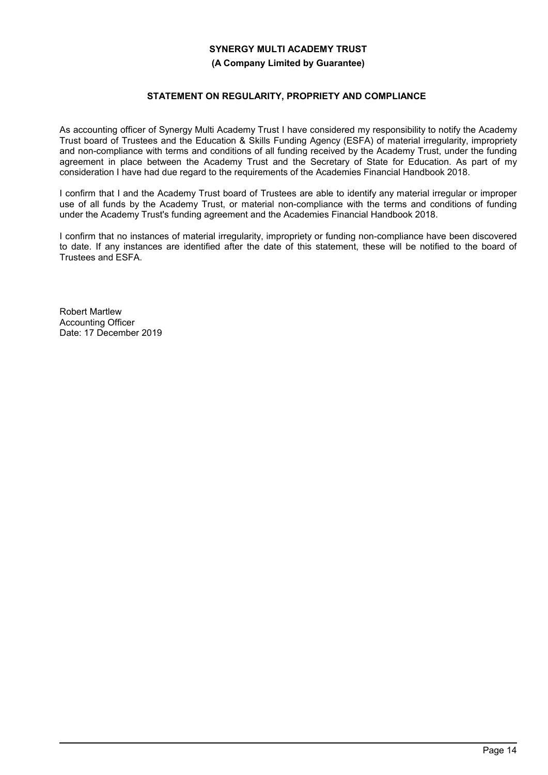## **(A Company Limited by Guarantee)**

## **STATEMENT ON REGULARITY, PROPRIETY AND COMPLIANCE**

As accounting officer of Synergy Multi Academy Trust I have considered my responsibility to notify the Academy Trust board of Trustees and the Education & Skills Funding Agency (ESFA) of material irregularity, impropriety and non-compliance with terms and conditions of all funding received by the Academy Trust, under the funding agreement in place between the Academy Trust and the Secretary of State for Education. As part of my consideration I have had due regard to the requirements of the Academies Financial Handbook 2018.

I confirm that I and the Academy Trust board of Trustees are able to identify any material irregular or improper use of all funds by the Academy Trust, or material non-compliance with the terms and conditions of funding under the Academy Trust's funding agreement and the Academies Financial Handbook 2018.

I confirm that no instances of material irregularity, impropriety or funding non-compliance have been discovered to date. If any instances are identified after the date of this statement, these will be notified to the board of Trustees and ESFA.

Robert Martlew Accounting Officer Date: 17 December 2019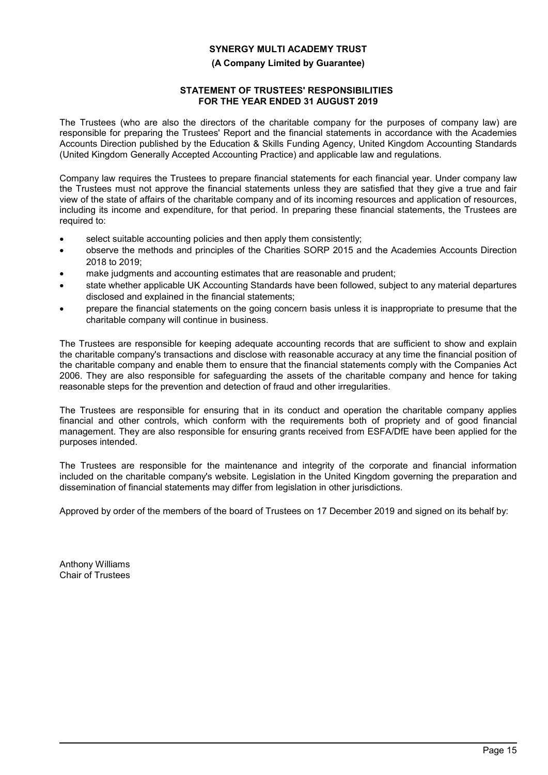## **(A Company Limited by Guarantee)**

# **STATEMENT OF TRUSTEES' RESPONSIBILITIES FOR THE YEAR ENDED 31 AUGUST 2019**

The Trustees (who are also the directors of the charitable company for the purposes of company law) are responsible for preparing the Trustees' Report and the financial statements in accordance with the Academies Accounts Direction published by the Education & Skills Funding Agency, United Kingdom Accounting Standards (United Kingdom Generally Accepted Accounting Practice) and applicable law and regulations.

Company law requires the Trustees to prepare financial statements for each financial year. Under company law the Trustees must not approve the financial statements unless they are satisfied that they give a true and fair view of the state of affairs of the charitable company and of its incoming resources and application of resources, including its income and expenditure, for that period. In preparing these financial statements, the Trustees are required to:

- select suitable accounting policies and then apply them consistently;
- observe the methods and principles of the Charities SORP 2015 and the Academies Accounts Direction 2018 to 2019;
- make judgments and accounting estimates that are reasonable and prudent;
- state whether applicable UK Accounting Standards have been followed, subject to any material departures disclosed and explained in the financial statements;
- prepare the financial statements on the going concern basis unless it is inappropriate to presume that the charitable company will continue in business.

The Trustees are responsible for keeping adequate accounting records that are sufficient to show and explain the charitable company's transactions and disclose with reasonable accuracy at any time the financial position of the charitable company and enable them to ensure that the financial statements comply with the Companies Act 2006. They are also responsible for safeguarding the assets of the charitable company and hence for taking reasonable steps for the prevention and detection of fraud and other irregularities.

The Trustees are responsible for ensuring that in its conduct and operation the charitable company applies financial and other controls, which conform with the requirements both of propriety and of good financial management. They are also responsible for ensuring grants received from ESFA/DfE have been applied for the purposes intended.

The Trustees are responsible for the maintenance and integrity of the corporate and financial information included on the charitable company's website. Legislation in the United Kingdom governing the preparation and dissemination of financial statements may differ from legislation in other jurisdictions.

Approved by order of the members of the board of Trustees on 17 December 2019 and signed on its behalf by:

Anthony Williams Chair of Trustees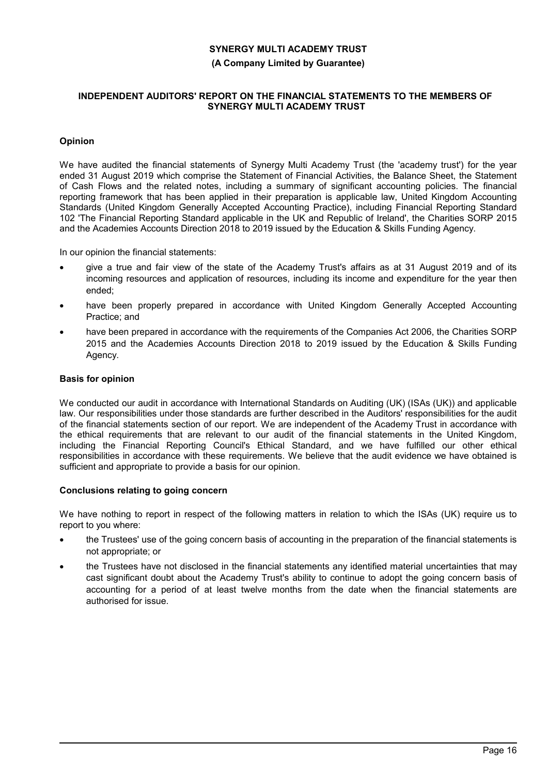#### **(A Company Limited by Guarantee)**

## **INDEPENDENT AUDITORS' REPORT ON THE FINANCIAL STATEMENTS TO THE MEMBERS OF SYNERGY MULTI ACADEMY TRUST**

# **Opinion**

We have audited the financial statements of Synergy Multi Academy Trust (the 'academy trust') for the year ended 31 August 2019 which comprise the Statement of Financial Activities, the Balance Sheet, the Statement of Cash Flows and the related notes, including a summary of significant accounting policies. The financial reporting framework that has been applied in their preparation is applicable law, United Kingdom Accounting Standards (United Kingdom Generally Accepted Accounting Practice), including Financial Reporting Standard 102 'The Financial Reporting Standard applicable in the UK and Republic of Ireland', the Charities SORP 2015 and the Academies Accounts Direction 2018 to 2019 issued by the Education & Skills Funding Agency.

In our opinion the financial statements:

- give a true and fair view of the state of the Academy Trust's affairs as at 31 August 2019 and of its incoming resources and application of resources, including its income and expenditure for the year then ended;
- have been properly prepared in accordance with United Kingdom Generally Accepted Accounting Practice; and
- have been prepared in accordance with the requirements of the Companies Act 2006, the Charities SORP 2015 and the Academies Accounts Direction 2018 to 2019 issued by the Education & Skills Funding Agency.

## **Basis for opinion**

We conducted our audit in accordance with International Standards on Auditing (UK) (ISAs (UK)) and applicable law. Our responsibilities under those standards are further described in the Auditors' responsibilities for the audit of the financial statements section of our report. We are independent of the Academy Trust in accordance with the ethical requirements that are relevant to our audit of the financial statements in the United Kingdom, including the Financial Reporting Council's Ethical Standard, and we have fulfilled our other ethical responsibilities in accordance with these requirements. We believe that the audit evidence we have obtained is sufficient and appropriate to provide a basis for our opinion.

# **Conclusions relating to going concern**

We have nothing to report in respect of the following matters in relation to which the ISAs (UK) require us to report to you where:

- the Trustees' use of the going concern basis of accounting in the preparation of the financial statements is not appropriate; or
- the Trustees have not disclosed in the financial statements any identified material uncertainties that may cast significant doubt about the Academy Trust's ability to continue to adopt the going concern basis of accounting for a period of at least twelve months from the date when the financial statements are authorised for issue.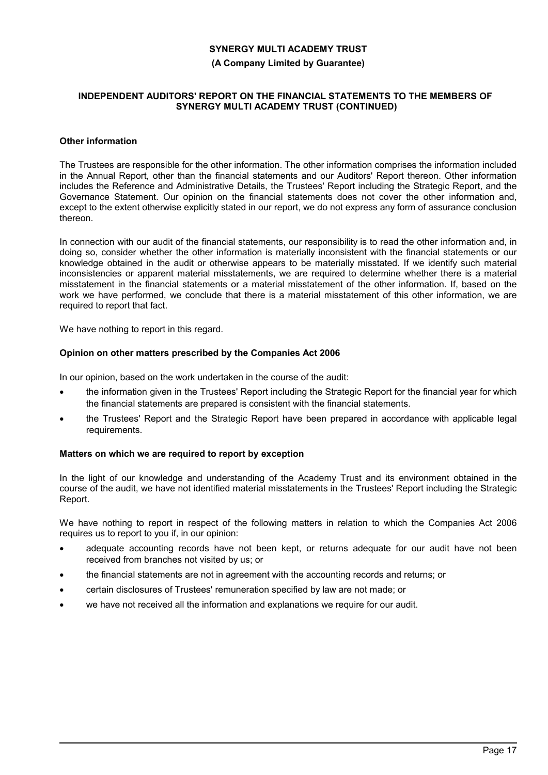## **(A Company Limited by Guarantee)**

## **INDEPENDENT AUDITORS' REPORT ON THE FINANCIAL STATEMENTS TO THE MEMBERS OF SYNERGY MULTI ACADEMY TRUST (CONTINUED)**

## **Other information**

The Trustees are responsible for the other information. The other information comprises the information included in the Annual Report, other than the financial statements and our Auditors' Report thereon. Other information includes the Reference and Administrative Details, the Trustees' Report including the Strategic Report, and the Governance Statement. Our opinion on the financial statements does not cover the other information and, except to the extent otherwise explicitly stated in our report, we do not express any form of assurance conclusion thereon.

In connection with our audit of the financial statements, our responsibility is to read the other information and, in doing so, consider whether the other information is materially inconsistent with the financial statements or our knowledge obtained in the audit or otherwise appears to be materially misstated. If we identify such material inconsistencies or apparent material misstatements, we are required to determine whether there is a material misstatement in the financial statements or a material misstatement of the other information. If, based on the work we have performed, we conclude that there is a material misstatement of this other information, we are required to report that fact.

We have nothing to report in this regard.

## **Opinion on other matters prescribed by the Companies Act 2006**

In our opinion, based on the work undertaken in the course of the audit:

- the information given in the Trustees' Report including the Strategic Report for the financial year for which the financial statements are prepared is consistent with the financial statements.
- the Trustees' Report and the Strategic Report have been prepared in accordance with applicable legal requirements.

### **Matters on which we are required to report by exception**

In the light of our knowledge and understanding of the Academy Trust and its environment obtained in the course of the audit, we have not identified material misstatements in the Trustees' Report including the Strategic Report.

We have nothing to report in respect of the following matters in relation to which the Companies Act 2006 requires us to report to you if, in our opinion:

- adequate accounting records have not been kept, or returns adequate for our audit have not been received from branches not visited by us; or
- the financial statements are not in agreement with the accounting records and returns; or
- certain disclosures of Trustees' remuneration specified by law are not made; or
- we have not received all the information and explanations we require for our audit.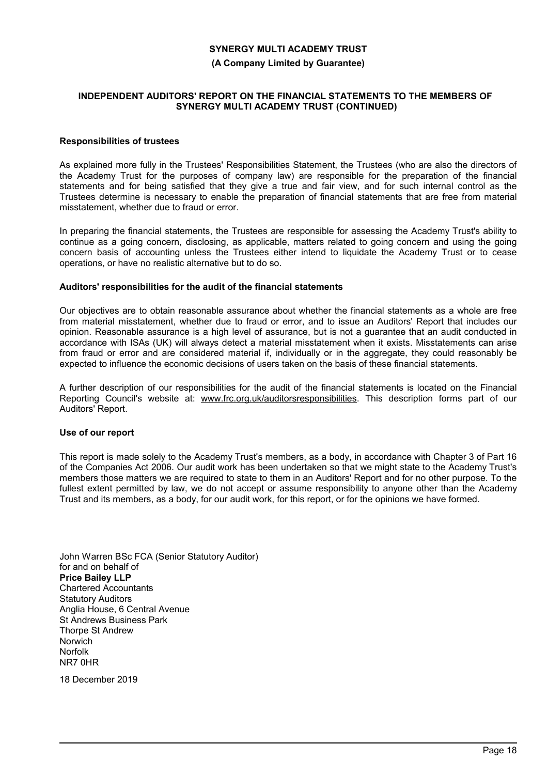#### **(A Company Limited by Guarantee)**

## **INDEPENDENT AUDITORS' REPORT ON THE FINANCIAL STATEMENTS TO THE MEMBERS OF SYNERGY MULTI ACADEMY TRUST (CONTINUED)**

## **Responsibilities of trustees**

As explained more fully in the Trustees' Responsibilities Statement, the Trustees (who are also the directors of the Academy Trust for the purposes of company law) are responsible for the preparation of the financial statements and for being satisfied that they give a true and fair view, and for such internal control as the Trustees determine is necessary to enable the preparation of financial statements that are free from material misstatement, whether due to fraud or error.

In preparing the financial statements, the Trustees are responsible for assessing the Academy Trust's ability to continue as a going concern, disclosing, as applicable, matters related to going concern and using the going concern basis of accounting unless the Trustees either intend to liquidate the Academy Trust or to cease operations, or have no realistic alternative but to do so.

#### **Auditors' responsibilities for the audit of the financial statements**

Our objectives are to obtain reasonable assurance about whether the financial statements as a whole are free from material misstatement, whether due to fraud or error, and to issue an Auditors' Report that includes our opinion. Reasonable assurance is a high level of assurance, but is not a guarantee that an audit conducted in accordance with ISAs (UK) will always detect a material misstatement when it exists. Misstatements can arise from fraud or error and are considered material if, individually or in the aggregate, they could reasonably be expected to influence the economic decisions of users taken on the basis of these financial statements.

A further description of our responsibilities for the audit of the financial statements is located on the Financial Reporting Council's website at: www.frc.org.uk/auditorsresponsibilities. This description forms part of our Auditors' Report.

#### **Use of our report**

This report is made solely to the Academy Trust's members, as a body, in accordance with Chapter 3 of Part 16 of the Companies Act 2006. Our audit work has been undertaken so that we might state to the Academy Trust's members those matters we are required to state to them in an Auditors' Report and for no other purpose. To the fullest extent permitted by law, we do not accept or assume responsibility to anyone other than the Academy Trust and its members, as a body, for our audit work, for this report, or for the opinions we have formed.

John Warren BSc FCA (Senior Statutory Auditor) for and on behalf of **Price Bailey LLP** Chartered Accountants Statutory Auditors Anglia House, 6 Central Avenue St Andrews Business Park Thorpe St Andrew Norwich Norfolk NR7 0HR

18 December 2019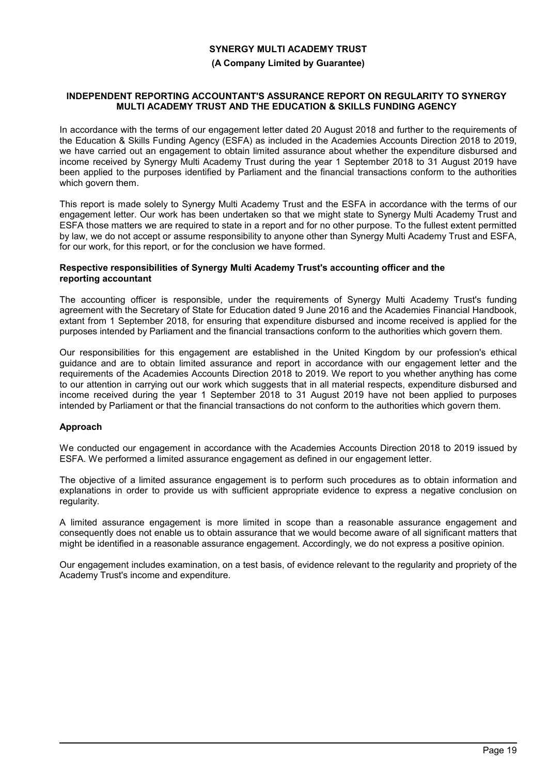#### **(A Company Limited by Guarantee)**

#### **INDEPENDENT REPORTING ACCOUNTANT'S ASSURANCE REPORT ON REGULARITY TO SYNERGY MULTI ACADEMY TRUST AND THE EDUCATION & SKILLS FUNDING AGENCY**

In accordance with the terms of our engagement letter dated 20 August 2018 and further to the requirements of the Education & Skills Funding Agency (ESFA) as included in the Academies Accounts Direction 2018 to 2019, we have carried out an engagement to obtain limited assurance about whether the expenditure disbursed and income received by Synergy Multi Academy Trust during the year 1 September 2018 to 31 August 2019 have been applied to the purposes identified by Parliament and the financial transactions conform to the authorities which govern them.

This report is made solely to Synergy Multi Academy Trust and the ESFA in accordance with the terms of our engagement letter. Our work has been undertaken so that we might state to Synergy Multi Academy Trust and ESFA those matters we are required to state in a report and for no other purpose. To the fullest extent permitted by law, we do not accept or assume responsibility to anyone other than Synergy Multi Academy Trust and ESFA, for our work, for this report, or for the conclusion we have formed.

#### **Respective responsibilities of Synergy Multi Academy Trust's accounting officer and the reporting accountant**

The accounting officer is responsible, under the requirements of Synergy Multi Academy Trust's funding agreement with the Secretary of State for Education dated 9 June 2016 and the Academies Financial Handbook, extant from 1 September 2018, for ensuring that expenditure disbursed and income received is applied for the purposes intended by Parliament and the financial transactions conform to the authorities which govern them.

Our responsibilities for this engagement are established in the United Kingdom by our profession's ethical guidance and are to obtain limited assurance and report in accordance with our engagement letter and the requirements of the Academies Accounts Direction 2018 to 2019. We report to you whether anything has come to our attention in carrying out our work which suggests that in all material respects, expenditure disbursed and income received during the year 1 September 2018 to 31 August 2019 have not been applied to purposes intended by Parliament or that the financial transactions do not conform to the authorities which govern them.

# **Approach**

We conducted our engagement in accordance with the Academies Accounts Direction 2018 to 2019 issued by ESFA. We performed a limited assurance engagement as defined in our engagement letter.

The objective of a limited assurance engagement is to perform such procedures as to obtain information and explanations in order to provide us with sufficient appropriate evidence to express a negative conclusion on regularity.

A limited assurance engagement is more limited in scope than a reasonable assurance engagement and consequently does not enable us to obtain assurance that we would become aware of all significant matters that might be identified in a reasonable assurance engagement. Accordingly, we do not express a positive opinion.

Our engagement includes examination, on a test basis, of evidence relevant to the regularity and propriety of the Academy Trust's income and expenditure.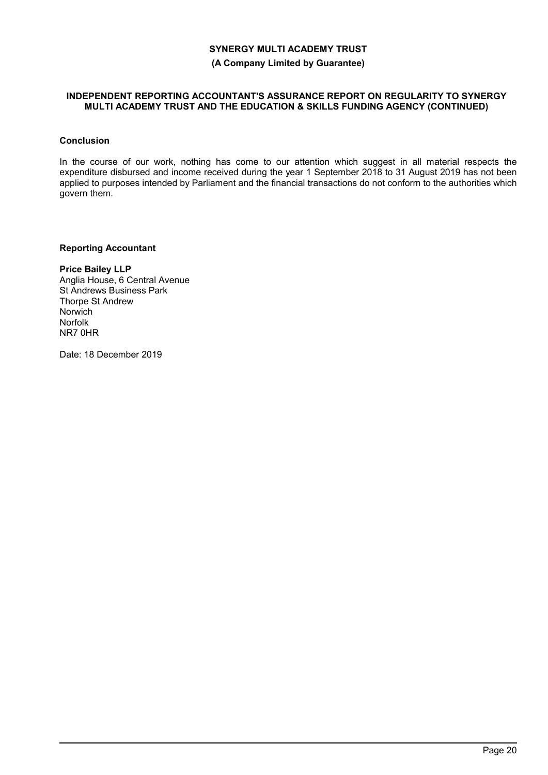## **(A Company Limited by Guarantee)**

#### **INDEPENDENT REPORTING ACCOUNTANT'S ASSURANCE REPORT ON REGULARITY TO SYNERGY MULTI ACADEMY TRUST AND THE EDUCATION & SKILLS FUNDING AGENCY (CONTINUED)**

## **Conclusion**

In the course of our work, nothing has come to our attention which suggest in all material respects the expenditure disbursed and income received during the year 1 September 2018 to 31 August 2019 has not been applied to purposes intended by Parliament and the financial transactions do not conform to the authorities which govern them.

# **Reporting Accountant**

**Price Bailey LLP** Anglia House, 6 Central Avenue St Andrews Business Park Thorpe St Andrew Norwich Norfolk NR7 0HR

Date: 18 December 2019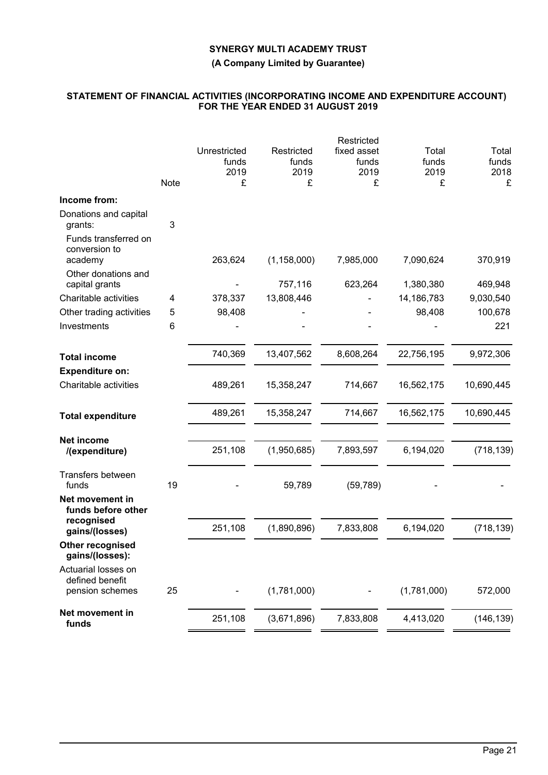**(A Company Limited by Guarantee)**

## **STATEMENT OF FINANCIAL ACTIVITIES (INCORPORATING INCOME AND EXPENDITURE ACCOUNT) FOR THE YEAR ENDED 31 AUGUST 2019**

|                                                  |      |                               |                             | Restricted                   |                         |                        |
|--------------------------------------------------|------|-------------------------------|-----------------------------|------------------------------|-------------------------|------------------------|
|                                                  |      | Unrestricted<br>funds<br>2019 | Restricted<br>funds<br>2019 | fixed asset<br>funds<br>2019 | Total<br>funds<br>2019  | Total<br>funds<br>2018 |
|                                                  | Note | £                             | £                           | £                            | £                       | £                      |
| Income from:                                     |      |                               |                             |                              |                         |                        |
| Donations and capital<br>grants:                 | 3    |                               |                             |                              |                         |                        |
| Funds transferred on<br>conversion to<br>academy |      | 263,624                       | (1, 158, 000)               | 7,985,000                    | 7,090,624               | 370,919                |
| Other donations and                              |      |                               |                             |                              |                         |                        |
| capital grants<br>Charitable activities          | 4    | 378,337                       | 757,116<br>13,808,446       | 623,264                      | 1,380,380<br>14,186,783 | 469,948<br>9,030,540   |
| Other trading activities                         | 5    | 98,408                        |                             |                              | 98,408                  | 100,678                |
| Investments                                      | 6    |                               |                             |                              |                         | 221                    |
|                                                  |      |                               |                             |                              |                         |                        |
| <b>Total income</b>                              |      | 740,369                       | 13,407,562                  | 8,608,264                    | 22,756,195              | 9,972,306              |
| <b>Expenditure on:</b>                           |      |                               |                             |                              |                         |                        |
| Charitable activities                            |      | 489,261                       | 15,358,247                  | 714,667                      | 16,562,175              | 10,690,445             |
| <b>Total expenditure</b>                         |      | 489,261                       | 15,358,247                  | 714,667                      | 16,562,175              | 10,690,445             |
| <b>Net income</b><br>/(expenditure)              |      | 251,108                       | (1,950,685)                 | 7,893,597                    | 6,194,020               | (718, 139)             |
|                                                  |      |                               |                             |                              |                         |                        |
| Transfers between<br>funds                       | 19   |                               | 59,789                      | (59, 789)                    |                         |                        |
| Net movement in<br>funds before other            |      |                               |                             |                              |                         |                        |
| recognised<br>gains/(losses)                     |      | 251,108                       | (1,890,896)                 | 7,833,808                    | 6,194,020               | (718, 139)             |
| <b>Other recognised</b><br>gains/(losses):       |      |                               |                             |                              |                         |                        |
| Actuarial losses on<br>defined benefit           |      |                               |                             |                              |                         |                        |
| pension schemes                                  | 25   |                               | (1,781,000)                 |                              | (1,781,000)             | 572,000                |
| Net movement in<br>funds                         |      | 251,108                       | (3,671,896)                 | 7,833,808                    | 4,413,020               | (146, 139)             |
|                                                  |      |                               |                             |                              |                         |                        |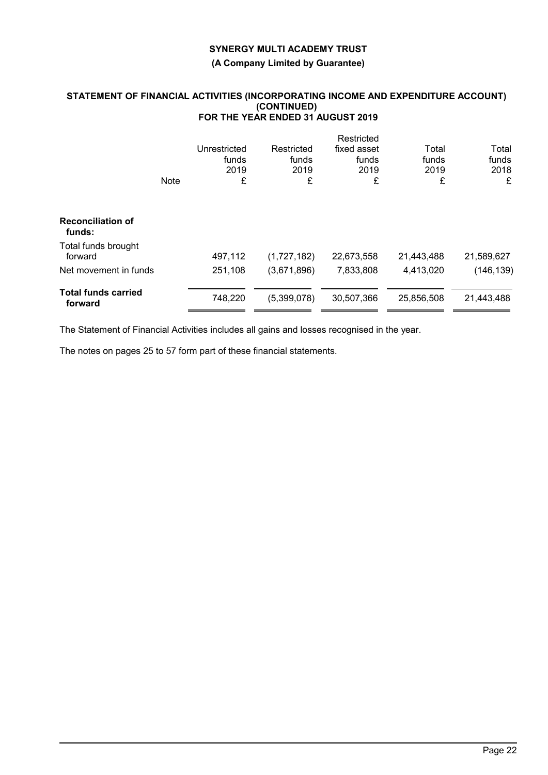**(A Company Limited by Guarantee)**

## **STATEMENT OF FINANCIAL ACTIVITIES (INCORPORATING INCOME AND EXPENDITURE ACCOUNT) (CONTINUED) FOR THE YEAR ENDED 31 AUGUST 2019**

|                                       | <b>Note</b> | Unrestricted<br>funds<br>2019<br>£ | Restricted<br>funds<br>2019<br>£ | Restricted<br>fixed asset<br>funds<br>2019<br>£ | Total<br>funds<br>2019<br>£ | Total<br>funds<br>2018<br>£ |
|---------------------------------------|-------------|------------------------------------|----------------------------------|-------------------------------------------------|-----------------------------|-----------------------------|
| <b>Reconciliation of</b><br>funds:    |             |                                    |                                  |                                                 |                             |                             |
| Total funds brought<br>forward        |             | 497,112                            | (1,727,182)                      | 22,673,558                                      | 21,443,488                  | 21,589,627                  |
| Net movement in funds                 |             | 251,108                            | (3,671,896)                      | 7,833,808                                       | 4,413,020                   | (146, 139)                  |
| <b>Total funds carried</b><br>forward |             | 748,220                            | (5,399,078)                      | 30,507,366                                      | 25,856,508                  | 21,443,488                  |

The Statement of Financial Activities includes all gains and losses recognised in the year.

The notes on pages 25 to 57 form part of these financial statements.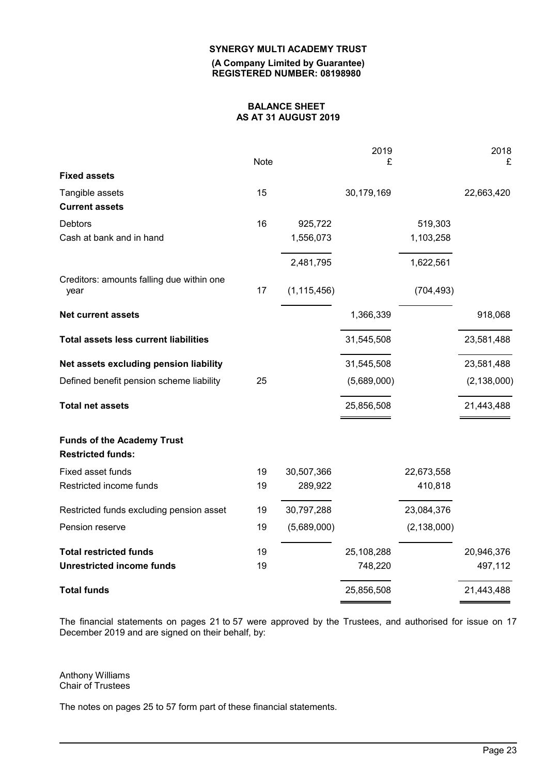**(A Company Limited by Guarantee) REGISTERED NUMBER: 08198980**

# **BALANCE SHEET AS AT 31 AUGUST 2019**

|                                                               | <b>Note</b> |               | 2019<br>£   |               | 2018<br>£     |
|---------------------------------------------------------------|-------------|---------------|-------------|---------------|---------------|
| <b>Fixed assets</b>                                           |             |               |             |               |               |
| Tangible assets                                               | 15          |               | 30,179,169  |               | 22,663,420    |
| <b>Current assets</b>                                         |             |               |             |               |               |
| Debtors                                                       | 16          | 925,722       |             | 519,303       |               |
| Cash at bank and in hand                                      |             | 1,556,073     |             | 1,103,258     |               |
|                                                               |             | 2,481,795     |             | 1,622,561     |               |
| Creditors: amounts falling due within one<br>year             | 17          | (1, 115, 456) |             | (704, 493)    |               |
| <b>Net current assets</b>                                     |             |               | 1,366,339   |               | 918,068       |
| <b>Total assets less current liabilities</b>                  |             |               | 31,545,508  |               | 23,581,488    |
| Net assets excluding pension liability                        |             |               | 31,545,508  |               | 23,581,488    |
| Defined benefit pension scheme liability                      | 25          |               | (5,689,000) |               | (2, 138, 000) |
| <b>Total net assets</b>                                       |             |               | 25,856,508  |               | 21,443,488    |
| <b>Funds of the Academy Trust</b><br><b>Restricted funds:</b> |             |               |             |               |               |
| Fixed asset funds                                             | 19          | 30,507,366    |             | 22,673,558    |               |
| Restricted income funds                                       | 19          | 289,922       |             | 410,818       |               |
| Restricted funds excluding pension asset                      | 19          | 30,797,288    |             | 23,084,376    |               |
| Pension reserve                                               | 19          | (5,689,000)   |             | (2, 138, 000) |               |
| <b>Total restricted funds</b>                                 | 19          |               | 25,108,288  |               | 20,946,376    |
| <b>Unrestricted income funds</b>                              | 19          |               | 748,220     |               | 497,112       |
| <b>Total funds</b>                                            |             |               | 25,856,508  |               | 21,443,488    |

The financial statements on pages 21 to 57 were approved by the Trustees, and authorised for issue on 17 December 2019 and are signed on their behalf, by:

Anthony Williams Chair of Trustees

The notes on pages 25 to 57 form part of these financial statements.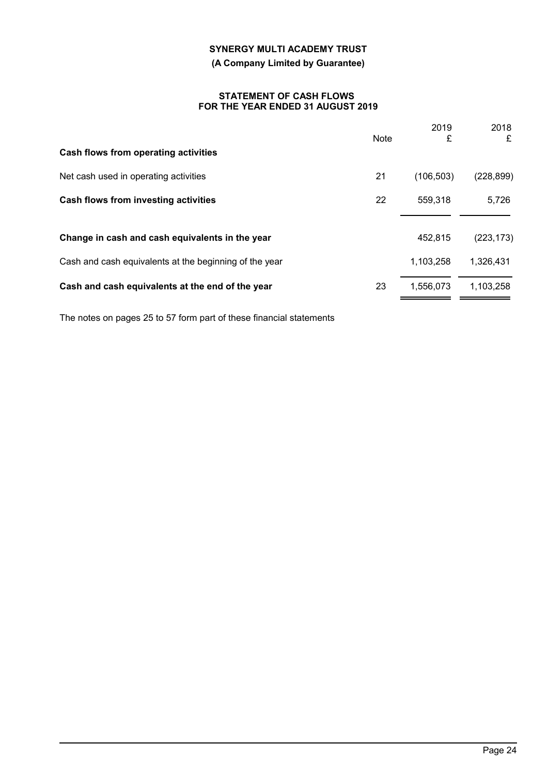# **(A Company Limited by Guarantee)**

## **STATEMENT OF CASH FLOWS FOR THE YEAR ENDED 31 AUGUST 2019**

|                                                        | <b>Note</b> | 2019<br>£  | 2018<br>£  |
|--------------------------------------------------------|-------------|------------|------------|
| Cash flows from operating activities                   |             |            |            |
| Net cash used in operating activities                  | 21          | (106, 503) | (228, 899) |
| Cash flows from investing activities                   | 22          | 559.318    | 5,726      |
|                                                        |             |            |            |
| Change in cash and cash equivalents in the year        |             | 452,815    | (223, 173) |
| Cash and cash equivalents at the beginning of the year |             | 1,103,258  | 1,326,431  |
| Cash and cash equivalents at the end of the year       | 23          | 1,556,073  | 1,103,258  |

The notes on pages 25 to 57 form part of these financial statements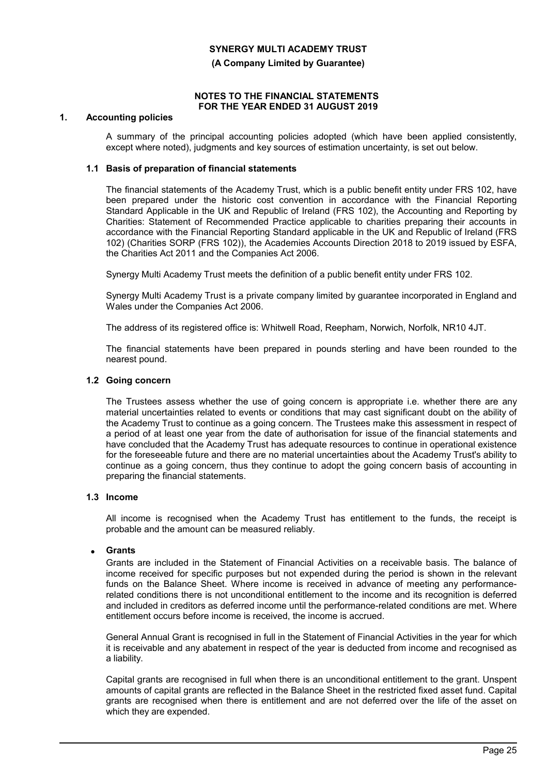## **(A Company Limited by Guarantee)**

#### **NOTES TO THE FINANCIAL STATEMENTS FOR THE YEAR ENDED 31 AUGUST 2019**

## **1. Accounting policies**

A summary of the principal accounting policies adopted (which have been applied consistently, except where noted), judgments and key sources of estimation uncertainty, is set out below.

## **1.1 Basis of preparation of financial statements**

The financial statements of the Academy Trust, which is a public benefit entity under FRS 102, have been prepared under the historic cost convention in accordance with the Financial Reporting Standard Applicable in the UK and Republic of Ireland (FRS 102), the Accounting and Reporting by Charities: Statement of Recommended Practice applicable to charities preparing their accounts in accordance with the Financial Reporting Standard applicable in the UK and Republic of Ireland (FRS 102) (Charities SORP (FRS 102)), the Academies Accounts Direction 2018 to 2019 issued by ESFA, the Charities Act 2011 and the Companies Act 2006.

Synergy Multi Academy Trust meets the definition of a public benefit entity under FRS 102.

Synergy Multi Academy Trust is a private company limited by guarantee incorporated in England and Wales under the Companies Act 2006.

The address of its registered office is: Whitwell Road, Reepham, Norwich, Norfolk, NR10 4JT.

The financial statements have been prepared in pounds sterling and have been rounded to the nearest pound.

## **1.2 Going concern**

The Trustees assess whether the use of going concern is appropriate i.e. whether there are any material uncertainties related to events or conditions that may cast significant doubt on the ability of the Academy Trust to continue as a going concern. The Trustees make this assessment in respect of a period of at least one year from the date of authorisation for issue of the financial statements and have concluded that the Academy Trust has adequate resources to continue in operational existence for the foreseeable future and there are no material uncertainties about the Academy Trust's ability to continue as a going concern, thus they continue to adopt the going concern basis of accounting in preparing the financial statements.

#### **1.3 Income**

All income is recognised when the Academy Trust has entitlement to the funds, the receipt is probable and the amount can be measured reliably.

# **Grants**

Grants are included in the Statement of Financial Activities on a receivable basis. The balance of income received for specific purposes but not expended during the period is shown in the relevant funds on the Balance Sheet. Where income is received in advance of meeting any performancerelated conditions there is not unconditional entitlement to the income and its recognition is deferred and included in creditors as deferred income until the performance-related conditions are met. Where entitlement occurs before income is received, the income is accrued.

General Annual Grant is recognised in full in the Statement of Financial Activities in the year for which it is receivable and any abatement in respect of the year is deducted from income and recognised as a liability.

Capital grants are recognised in full when there is an unconditional entitlement to the grant. Unspent amounts of capital grants are reflected in the Balance Sheet in the restricted fixed asset fund. Capital grants are recognised when there is entitlement and are not deferred over the life of the asset on which they are expended.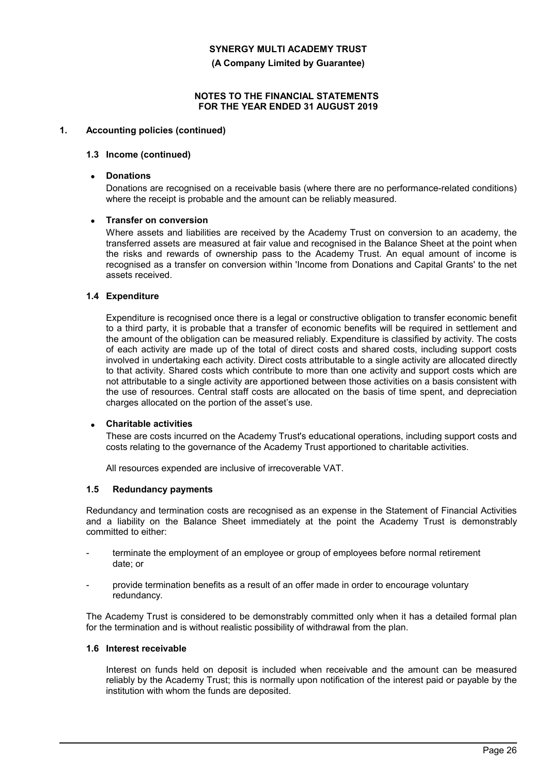**(A Company Limited by Guarantee)**

## **NOTES TO THE FINANCIAL STATEMENTS FOR THE YEAR ENDED 31 AUGUST 2019**

# **1. Accounting policies (continued)**

#### **1.3 Income (continued)**

#### **Donations**

Donations are recognised on a receivable basis (where there are no performance-related conditions) where the receipt is probable and the amount can be reliably measured.

## **Transfer on conversion**

Where assets and liabilities are received by the Academy Trust on conversion to an academy, the transferred assets are measured at fair value and recognised in the Balance Sheet at the point when the risks and rewards of ownership pass to the Academy Trust. An equal amount of income is recognised as a transfer on conversion within 'Income from Donations and Capital Grants' to the net assets received.

## **1.4 Expenditure**

Expenditure is recognised once there is a legal or constructive obligation to transfer economic benefit to a third party, it is probable that a transfer of economic benefits will be required in settlement and the amount of the obligation can be measured reliably. Expenditure is classified by activity. The costs of each activity are made up of the total of direct costs and shared costs, including support costs involved in undertaking each activity. Direct costs attributable to a single activity are allocated directly to that activity. Shared costs which contribute to more than one activity and support costs which are not attributable to a single activity are apportioned between those activities on a basis consistent with the use of resources. Central staff costs are allocated on the basis of time spent, and depreciation charges allocated on the portion of the asset's use.

#### **Charitable activities**

These are costs incurred on the Academy Trust's educational operations, including support costs and costs relating to the governance of the Academy Trust apportioned to charitable activities.

All resources expended are inclusive of irrecoverable VAT.

## **1.5 Redundancy payments**

Redundancy and termination costs are recognised as an expense in the Statement of Financial Activities and a liability on the Balance Sheet immediately at the point the Academy Trust is demonstrably committed to either:

- terminate the employment of an employee or group of employees before normal retirement date; or
- provide termination benefits as a result of an offer made in order to encourage voluntary redundancy.

The Academy Trust is considered to be demonstrably committed only when it has a detailed formal plan for the termination and is without realistic possibility of withdrawal from the plan.

#### **1.6 Interest receivable**

Interest on funds held on deposit is included when receivable and the amount can be measured reliably by the Academy Trust; this is normally upon notification of the interest paid or payable by the institution with whom the funds are deposited.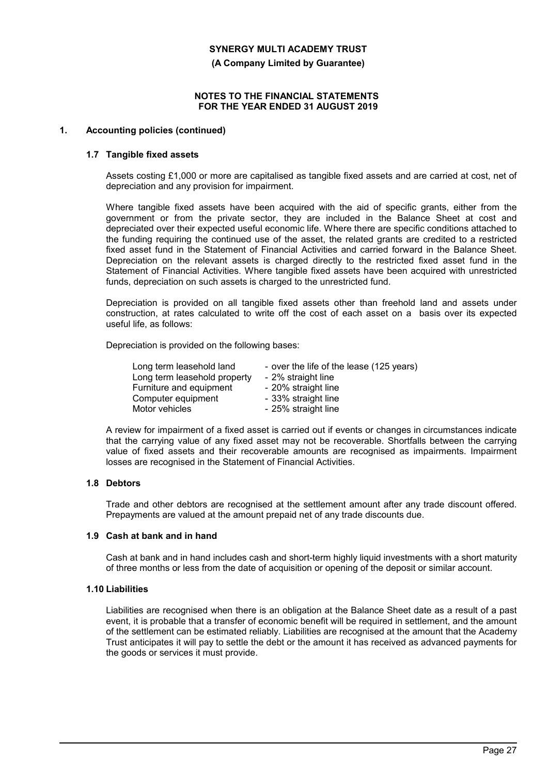**(A Company Limited by Guarantee)**

#### **NOTES TO THE FINANCIAL STATEMENTS FOR THE YEAR ENDED 31 AUGUST 2019**

# **1. Accounting policies (continued)**

#### **1.7 Tangible fixed assets**

Assets costing £1,000 or more are capitalised as tangible fixed assets and are carried at cost, net of depreciation and any provision for impairment.

Where tangible fixed assets have been acquired with the aid of specific grants, either from the government or from the private sector, they are included in the Balance Sheet at cost and depreciated over their expected useful economic life. Where there are specific conditions attached to the funding requiring the continued use of the asset, the related grants are credited to a restricted fixed asset fund in the Statement of Financial Activities and carried forward in the Balance Sheet. Depreciation on the relevant assets is charged directly to the restricted fixed asset fund in the Statement of Financial Activities. Where tangible fixed assets have been acquired with unrestricted funds, depreciation on such assets is charged to the unrestricted fund.

Depreciation is provided on all tangible fixed assets other than freehold land and assets under construction, at rates calculated to write off the cost of each asset on a basis over its expected useful life, as follows:

Depreciation is provided on the following bases:

| Long term leasehold land     | - over the life of the lease (125 years) |
|------------------------------|------------------------------------------|
| Long term leasehold property | - 2% straight line                       |
| Furniture and equipment      | - 20% straight line                      |
| Computer equipment           | - 33% straight line                      |
| Motor vehicles               | - 25% straight line                      |

A review for impairment of a fixed asset is carried out if events or changes in circumstances indicate that the carrying value of any fixed asset may not be recoverable. Shortfalls between the carrying value of fixed assets and their recoverable amounts are recognised as impairments. Impairment losses are recognised in the Statement of Financial Activities.

#### **1.8 Debtors**

Trade and other debtors are recognised at the settlement amount after any trade discount offered. Prepayments are valued at the amount prepaid net of any trade discounts due.

#### **1.9 Cash at bank and in hand**

Cash at bank and in hand includes cash and short-term highly liquid investments with a short maturity of three months or less from the date of acquisition or opening of the deposit or similar account.

# **1.10 Liabilities**

Liabilities are recognised when there is an obligation at the Balance Sheet date as a result of a past event, it is probable that a transfer of economic benefit will be required in settlement, and the amount of the settlement can be estimated reliably. Liabilities are recognised at the amount that the Academy Trust anticipates it will pay to settle the debt or the amount it has received as advanced payments for the goods or services it must provide.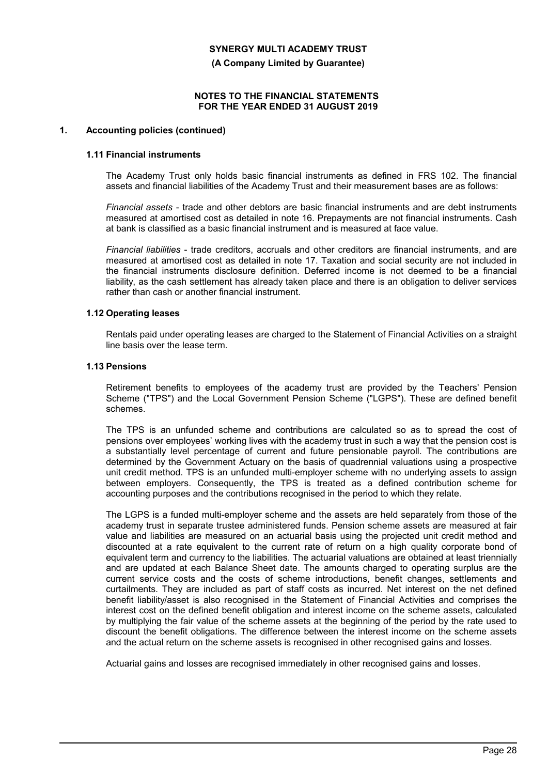**(A Company Limited by Guarantee)**

### **NOTES TO THE FINANCIAL STATEMENTS FOR THE YEAR ENDED 31 AUGUST 2019**

#### **1. Accounting policies (continued)**

#### **1.11 Financial instruments**

The Academy Trust only holds basic financial instruments as defined in FRS 102. The financial assets and financial liabilities of the Academy Trust and their measurement bases are as follows:

*Financial assets* - trade and other debtors are basic financial instruments and are debt instruments measured at amortised cost as detailed in note 16. Prepayments are not financial instruments. Cash at bank is classified as a basic financial instrument and is measured at face value.

*Financial liabilities* - trade creditors, accruals and other creditors are financial instruments, and are measured at amortised cost as detailed in note 17. Taxation and social security are not included in the financial instruments disclosure definition. Deferred income is not deemed to be a financial liability, as the cash settlement has already taken place and there is an obligation to deliver services rather than cash or another financial instrument.

## **1.12 Operating leases**

Rentals paid under operating leases are charged to the Statement of Financial Activities on a straight line basis over the lease term.

#### **1.13 Pensions**

Retirement benefits to employees of the academy trust are provided by the Teachers' Pension Scheme ("TPS") and the Local Government Pension Scheme ("LGPS"). These are defined benefit schemes.

The TPS is an unfunded scheme and contributions are calculated so as to spread the cost of pensions over employees' working lives with the academy trust in such a way that the pension cost is a substantially level percentage of current and future pensionable payroll. The contributions are determined by the Government Actuary on the basis of quadrennial valuations using a prospective unit credit method. TPS is an unfunded multi-employer scheme with no underlying assets to assign between employers. Consequently, the TPS is treated as a defined contribution scheme for accounting purposes and the contributions recognised in the period to which they relate.

The LGPS is a funded multi-employer scheme and the assets are held separately from those of the academy trust in separate trustee administered funds. Pension scheme assets are measured at fair value and liabilities are measured on an actuarial basis using the projected unit credit method and discounted at a rate equivalent to the current rate of return on a high quality corporate bond of equivalent term and currency to the liabilities. The actuarial valuations are obtained at least triennially and are updated at each Balance Sheet date. The amounts charged to operating surplus are the current service costs and the costs of scheme introductions, benefit changes, settlements and curtailments. They are included as part of staff costs as incurred. Net interest on the net defined benefit liability/asset is also recognised in the Statement of Financial Activities and comprises the interest cost on the defined benefit obligation and interest income on the scheme assets, calculated by multiplying the fair value of the scheme assets at the beginning of the period by the rate used to discount the benefit obligations. The difference between the interest income on the scheme assets and the actual return on the scheme assets is recognised in other recognised gains and losses.

Actuarial gains and losses are recognised immediately in other recognised gains and losses.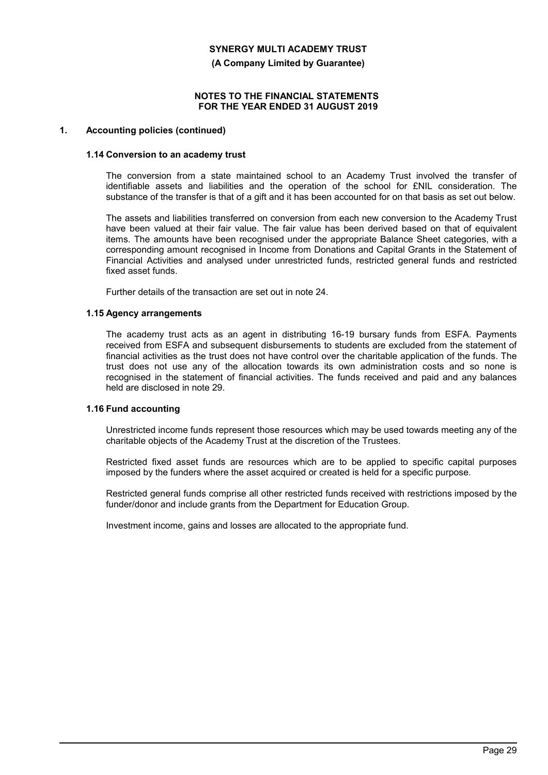**(A Company Limited by Guarantee)**

#### **NOTES TO THE FINANCIAL STATEMENTS FOR THE YEAR ENDED 31 AUGUST 2019**

#### **1. Accounting policies (continued)**

#### **1.14 Conversion to an academy trust**

The conversion from a state maintained school to an Academy Trust involved the transfer of identifiable assets and liabilities and the operation of the school for £NIL consideration. The substance of the transfer is that of a gift and it has been accounted for on that basis as set out below.

The assets and liabilities transferred on conversion from each new conversion to the Academy Trust have been valued at their fair value. The fair value has been derived based on that of equivalent items. The amounts have been recognised under the appropriate Balance Sheet categories, with a corresponding amount recognised in Income from Donations and Capital Grants in the Statement of Financial Activities and analysed under unrestricted funds, restricted general funds and restricted fixed asset funds.

Further details of the transaction are set out in note 24.

## **1.15 Agency arrangements**

The academy trust acts as an agent in distributing 16-19 bursary funds from ESFA. Payments received from ESFA and subsequent disbursements to students are excluded from the statement of financial activities as the trust does not have control over the charitable application of the funds. The trust does not use any of the allocation towards its own administration costs and so none is recognised in the statement of financial activities. The funds received and paid and any balances held are disclosed in note 29.

# **1.16 Fund accounting**

Unrestricted income funds represent those resources which may be used towards meeting any of the charitable objects of the Academy Trust at the discretion of the Trustees.

Restricted fixed asset funds are resources which are to be applied to specific capital purposes imposed by the funders where the asset acquired or created is held for a specific purpose.

Restricted general funds comprise all other restricted funds received with restrictions imposed by the funder/donor and include grants from the Department for Education Group.

Investment income, gains and losses are allocated to the appropriate fund.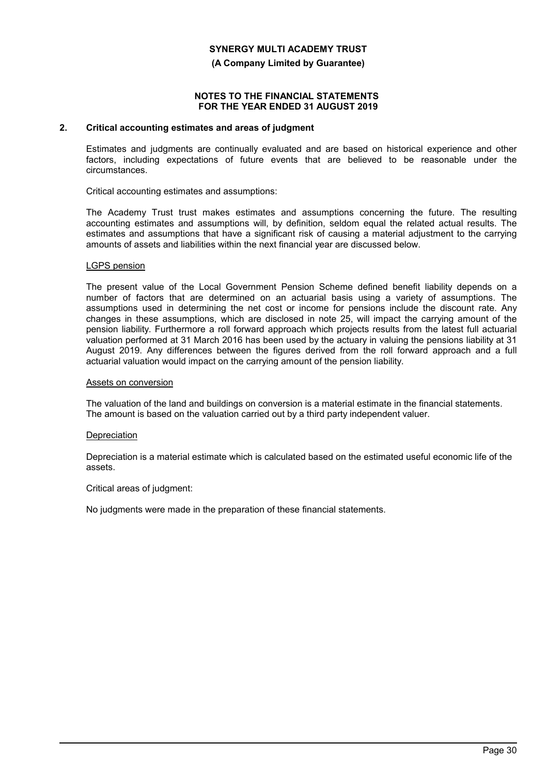#### **(A Company Limited by Guarantee)**

#### **NOTES TO THE FINANCIAL STATEMENTS FOR THE YEAR ENDED 31 AUGUST 2019**

## **2. Critical accounting estimates and areas of judgment**

Estimates and judgments are continually evaluated and are based on historical experience and other factors, including expectations of future events that are believed to be reasonable under the circumstances.

Critical accounting estimates and assumptions:

The Academy Trust trust makes estimates and assumptions concerning the future. The resulting accounting estimates and assumptions will, by definition, seldom equal the related actual results. The estimates and assumptions that have a significant risk of causing a material adjustment to the carrying amounts of assets and liabilities within the next financial year are discussed below.

#### LGPS pension

The present value of the Local Government Pension Scheme defined benefit liability depends on a number of factors that are determined on an actuarial basis using a variety of assumptions. The assumptions used in determining the net cost or income for pensions include the discount rate. Any changes in these assumptions, which are disclosed in note 25, will impact the carrying amount of the pension liability. Furthermore a roll forward approach which projects results from the latest full actuarial valuation performed at 31 March 2016 has been used by the actuary in valuing the pensions liability at 31 August 2019. Any differences between the figures derived from the roll forward approach and a full actuarial valuation would impact on the carrying amount of the pension liability.

#### Assets on conversion

The valuation of the land and buildings on conversion is a material estimate in the financial statements. The amount is based on the valuation carried out by a third party independent valuer.

#### **Depreciation**

Depreciation is a material estimate which is calculated based on the estimated useful economic life of the assets.

Critical areas of judgment:

No judgments were made in the preparation of these financial statements.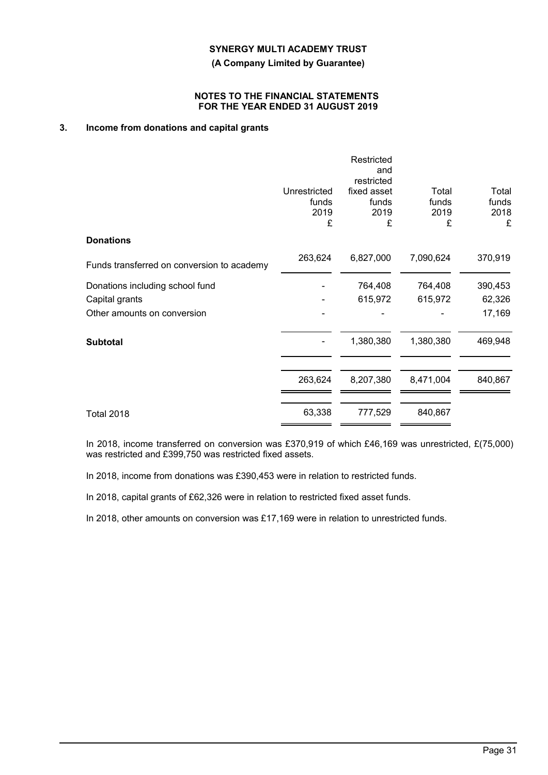**(A Company Limited by Guarantee)**

## **NOTES TO THE FINANCIAL STATEMENTS FOR THE YEAR ENDED 31 AUGUST 2019**

# **3. Income from donations and capital grants**

|                                            | Unrestricted<br>funds<br>2019<br>£ | Restricted<br>and<br>restricted<br>fixed asset<br>funds<br>2019<br>£ | Total<br>funds<br>2019<br>£ | Total<br>funds<br>2018<br>£ |
|--------------------------------------------|------------------------------------|----------------------------------------------------------------------|-----------------------------|-----------------------------|
| <b>Donations</b>                           |                                    |                                                                      |                             |                             |
| Funds transferred on conversion to academy | 263,624                            | 6,827,000                                                            | 7,090,624                   | 370,919                     |
| Donations including school fund            |                                    | 764,408                                                              | 764,408                     | 390,453                     |
| Capital grants                             |                                    | 615,972                                                              | 615,972                     | 62,326                      |
| Other amounts on conversion                |                                    |                                                                      |                             | 17,169                      |
| <b>Subtotal</b>                            |                                    | 1,380,380                                                            | 1,380,380                   | 469,948                     |
|                                            | 263,624                            | 8,207,380                                                            | 8,471,004                   | 840,867                     |
| <b>Total 2018</b>                          | 63,338                             | 777,529                                                              | 840,867                     |                             |

In 2018, income transferred on conversion was £370,919 of which £46,169 was unrestricted, £(75,000) was restricted and £399,750 was restricted fixed assets.

In 2018, income from donations was £390,453 were in relation to restricted funds.

In 2018, capital grants of £62,326 were in relation to restricted fixed asset funds.

In 2018, other amounts on conversion was £17,169 were in relation to unrestricted funds.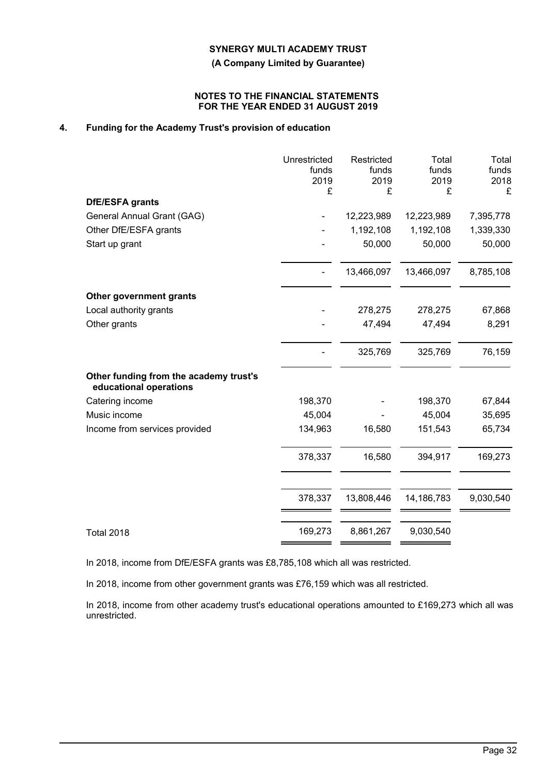**(A Company Limited by Guarantee)**

## **NOTES TO THE FINANCIAL STATEMENTS FOR THE YEAR ENDED 31 AUGUST 2019**

# **4. Funding for the Academy Trust's provision of education**

|                                                                  | Unrestricted<br>funds<br>2019<br>£ | Restricted<br>funds<br>2019<br>£ | Total<br>funds<br>2019<br>£ | Total<br>funds<br>2018<br>£ |
|------------------------------------------------------------------|------------------------------------|----------------------------------|-----------------------------|-----------------------------|
| DfE/ESFA grants                                                  |                                    |                                  |                             |                             |
| General Annual Grant (GAG)                                       |                                    | 12,223,989                       | 12,223,989                  | 7,395,778                   |
| Other DfE/ESFA grants                                            |                                    | 1,192,108                        | 1,192,108                   | 1,339,330                   |
| Start up grant                                                   |                                    | 50,000                           | 50,000                      | 50,000                      |
|                                                                  |                                    | 13,466,097                       | 13,466,097                  | 8,785,108                   |
| Other government grants                                          |                                    |                                  |                             |                             |
| Local authority grants                                           |                                    | 278,275                          | 278,275                     | 67,868                      |
| Other grants                                                     |                                    | 47,494                           | 47,494                      | 8,291                       |
|                                                                  |                                    | 325,769                          | 325,769                     | 76,159                      |
| Other funding from the academy trust's<br>educational operations |                                    |                                  |                             |                             |
| Catering income                                                  | 198,370                            |                                  | 198,370                     | 67,844                      |
| Music income                                                     | 45,004                             |                                  | 45,004                      | 35,695                      |
| Income from services provided                                    | 134,963                            | 16,580                           | 151,543                     | 65,734                      |
|                                                                  | 378,337                            | 16,580                           | 394,917                     | 169,273                     |
|                                                                  | 378,337                            | 13,808,446                       | 14,186,783                  | 9,030,540                   |
| <b>Total 2018</b>                                                | 169,273                            | 8,861,267                        | 9,030,540                   |                             |

In 2018, income from DfE/ESFA grants was £8,785,108 which all was restricted.

In 2018, income from other government grants was £76,159 which was all restricted.

In 2018, income from other academy trust's educational operations amounted to £169,273 which all was unrestricted.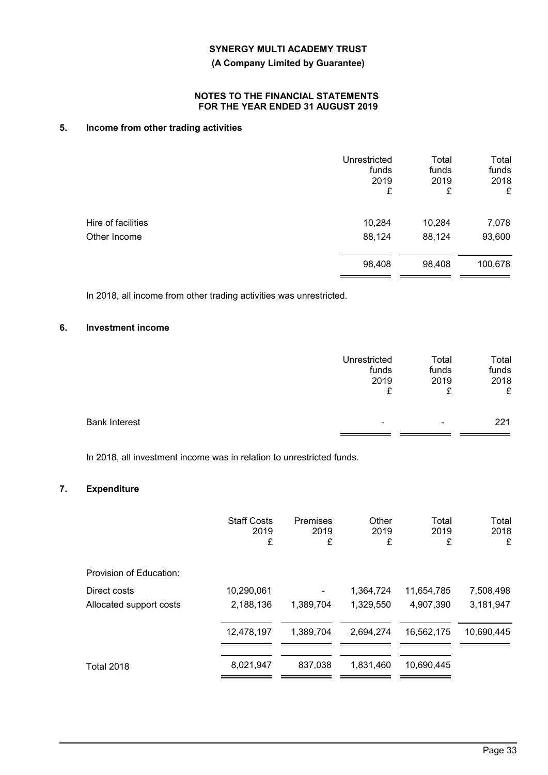**(A Company Limited by Guarantee)**

## **NOTES TO THE FINANCIAL STATEMENTS FOR THE YEAR ENDED 31 AUGUST 2019**

# **5. Income from other trading activities**

|                    | Unrestricted<br>funds<br>2019<br>£ | Total<br>funds<br>2019<br>£ | Total<br>funds<br>2018<br>£ |
|--------------------|------------------------------------|-----------------------------|-----------------------------|
| Hire of facilities | 10,284                             | 10,284                      | 7,078                       |
| Other Income       | 88,124                             | 88,124                      | 93,600                      |
|                    | 98,408                             | 98,408                      | 100,678                     |

In 2018, all income from other trading activities was unrestricted.

# **6. Investment income**

|                      | Unrestricted | Total | Total |
|----------------------|--------------|-------|-------|
|                      | funds        | funds | funds |
|                      | 2019         | 2019  | 2018  |
|                      | ₽            | c     | £     |
| <b>Bank Interest</b> | -            | ۰     | 221   |

In 2018, all investment income was in relation to unrestricted funds.

# **7. Expenditure**

|                         | <b>Staff Costs</b><br>2019<br>£ | Premises<br>2019<br>£ | Other<br>2019<br>£ | Total<br>2019<br>£ | Total<br>2018<br>£ |
|-------------------------|---------------------------------|-----------------------|--------------------|--------------------|--------------------|
| Provision of Education: |                                 |                       |                    |                    |                    |
| Direct costs            | 10.290.061                      |                       | 1,364,724          | 11,654,785         | 7,508,498          |
| Allocated support costs | 2,188,136                       | 1,389,704             | 1,329,550          | 4,907,390          | 3,181,947          |
|                         | 12,478,197                      | 1,389,704             | 2,694,274          | 16,562,175         | 10,690,445         |
| <b>Total 2018</b>       | 8,021,947                       | 837,038               | 1,831,460          | 10,690,445         |                    |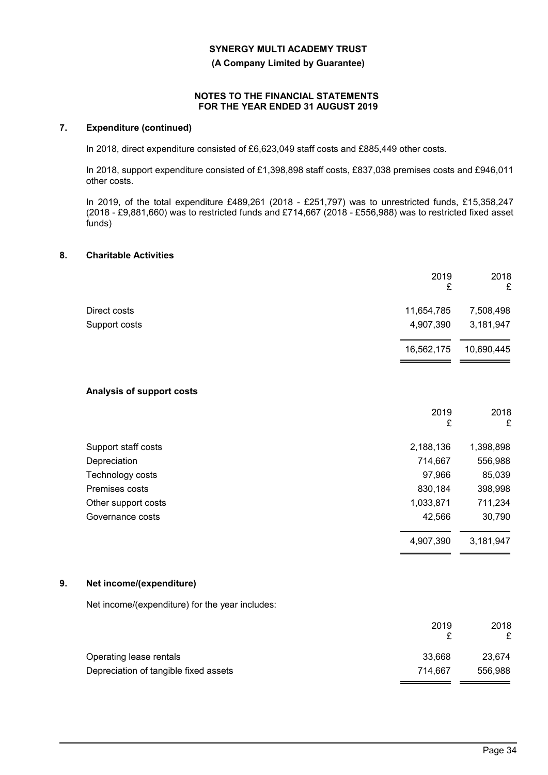**(A Company Limited by Guarantee)**

### **NOTES TO THE FINANCIAL STATEMENTS FOR THE YEAR ENDED 31 AUGUST 2019**

# **7. Expenditure (continued)**

In 2018, direct expenditure consisted of £6,623,049 staff costs and £885,449 other costs.

In 2018, support expenditure consisted of £1,398,898 staff costs, £837,038 premises costs and £946,011 other costs.

In 2019, of the total expenditure £489,261 (2018 - £251,797) was to unrestricted funds, £15,358,247 (2018 - £9,881,660) was to restricted funds and £714,667 (2018 - £556,988) was to restricted fixed asset funds)

## **8. Charitable Activities**

|                           | 2019<br>£  | 2018<br>£  |
|---------------------------|------------|------------|
| Direct costs              | 11,654,785 | 7,508,498  |
| Support costs             | 4,907,390  | 3,181,947  |
|                           | 16,562,175 | 10,690,445 |
| Analysis of support costs |            |            |
|                           | 2019<br>£  | 2018<br>£  |
| Support staff costs       | 2,188,136  | 1,398,898  |
| Depreciation              | 714,667    | 556,988    |
| Technology costs          | 97,966     | 85,039     |
| Premises costs            | 830,184    | 398,998    |
| Other support costs       | 1,033,871  | 711,234    |
| Governance costs          | 42,566     | 30,790     |
|                           | 4,907,390  | 3,181,947  |

#### **9. Net income/(expenditure)**

Net income/(expenditure) for the year includes:

|                                       | 2019    | 2018    |
|---------------------------------------|---------|---------|
| Operating lease rentals               | 33.668  | 23,674  |
| Depreciation of tangible fixed assets | 714.667 | 556.988 |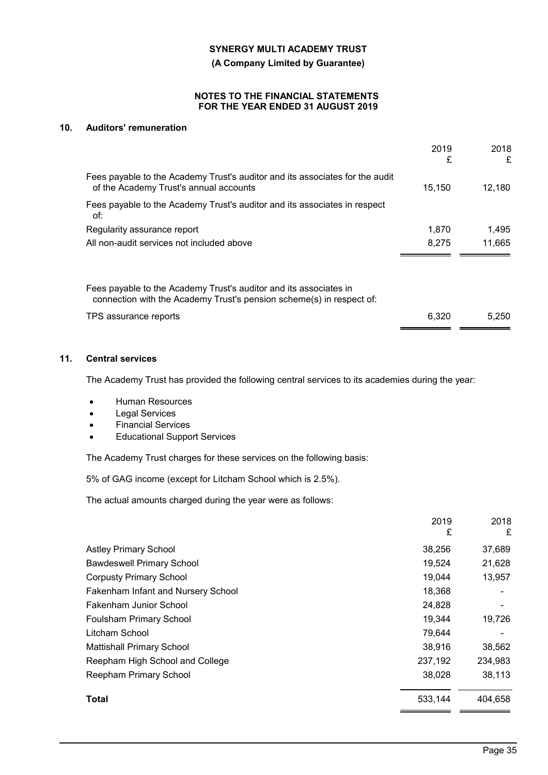**(A Company Limited by Guarantee)**

## **NOTES TO THE FINANCIAL STATEMENTS FOR THE YEAR ENDED 31 AUGUST 2019**

# **10. Auditors' remuneration**

| 2019<br>£ | 2018<br>£ |
|-----------|-----------|
| 15.150    | 12.180    |
|           |           |
| 1.870     | 1.495     |
| 8.275     | 11.665    |
|           |           |
| 6,320     | 5.250     |
|           |           |

# **11. Central services**

The Academy Trust has provided the following central services to its academies during the year:

- **•** Human Resources
- Legal Services
- Financial Services
- Educational Support Services

The Academy Trust charges for these services on the following basis:

5% of GAG income (except for Litcham School which is 2.5%).

The actual amounts charged during the year were as follows:

|                                    | 2019<br>£ | 2018<br>£ |
|------------------------------------|-----------|-----------|
| <b>Astley Primary School</b>       | 38,256    | 37,689    |
| <b>Bawdeswell Primary School</b>   | 19,524    | 21,628    |
| <b>Corpusty Primary School</b>     | 19,044    | 13,957    |
| Fakenham Infant and Nursery School | 18,368    |           |
| Fakenham Junior School             | 24,828    |           |
| Foulsham Primary School            | 19,344    | 19,726    |
| Litcham School                     | 79,644    |           |
| <b>Mattishall Primary School</b>   | 38,916    | 38,562    |
| Reepham High School and College    | 237,192   | 234,983   |
| Reepham Primary School             | 38,028    | 38,113    |
| Total                              | 533,144   | 404,658   |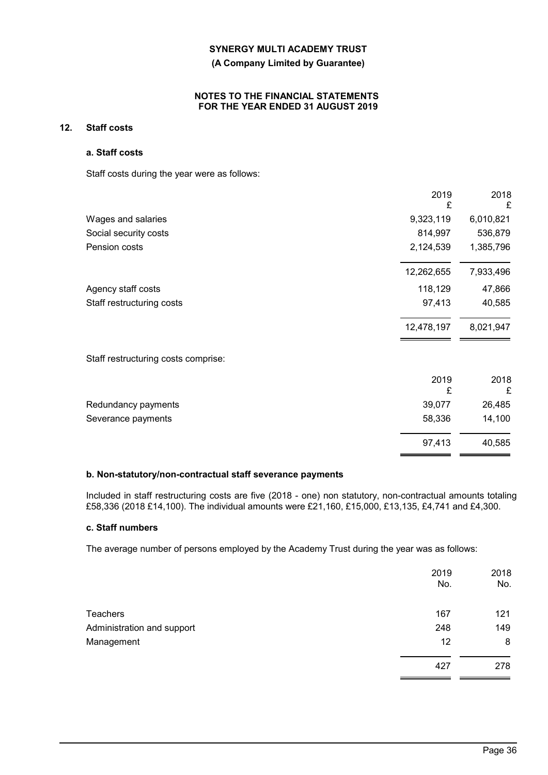# **(A Company Limited by Guarantee)**

## **NOTES TO THE FINANCIAL STATEMENTS FOR THE YEAR ENDED 31 AUGUST 2019**

# **12. Staff costs**

## **a. Staff costs**

Staff costs during the year were as follows:

|                                     | 2019<br>£  | 2018<br>£ |
|-------------------------------------|------------|-----------|
| Wages and salaries                  | 9,323,119  | 6,010,821 |
| Social security costs               | 814,997    | 536,879   |
| Pension costs                       | 2,124,539  | 1,385,796 |
|                                     | 12,262,655 | 7,933,496 |
| Agency staff costs                  | 118,129    | 47,866    |
| Staff restructuring costs           | 97,413     | 40,585    |
|                                     | 12,478,197 | 8,021,947 |
| Staff restructuring costs comprise: |            |           |
|                                     | 2019<br>£  | 2018<br>£ |
| Redundancy payments                 | 39,077     | 26,485    |
| Severance payments                  | 58,336     | 14,100    |
|                                     | 97,413     | 40,585    |

## **b. Non-statutory/non-contractual staff severance payments**

Included in staff restructuring costs are five (2018 - one) non statutory, non-contractual amounts totaling £58,336 (2018 £14,100). The individual amounts were £21,160, £15,000, £13,135, £4,741 and £4,300.

#### **c. Staff numbers**

The average number of persons employed by the Academy Trust during the year was as follows:

|                            | 2019<br>No. | 2018<br>No. |
|----------------------------|-------------|-------------|
| <b>Teachers</b>            | 167         | 121         |
| Administration and support | 248         | 149         |
| Management                 | 12          | 8           |
|                            | 427         | 278         |
|                            |             |             |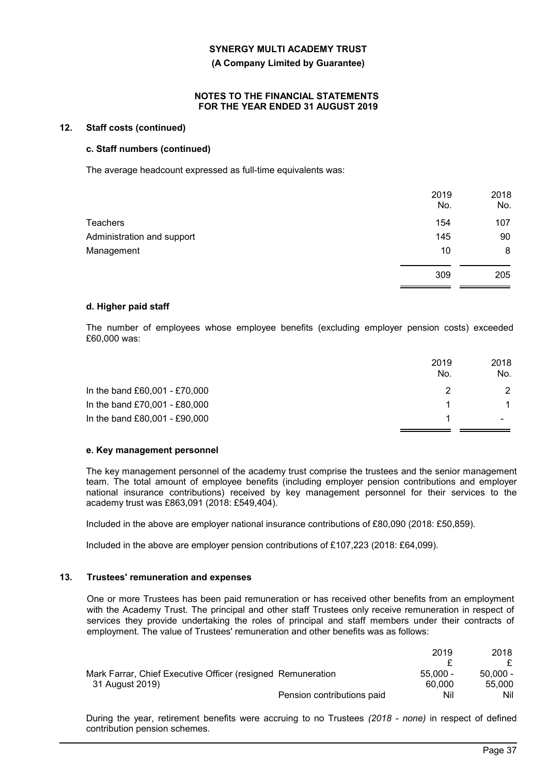#### **(A Company Limited by Guarantee)**

#### **NOTES TO THE FINANCIAL STATEMENTS FOR THE YEAR ENDED 31 AUGUST 2019**

# **12. Staff costs (continued)**

## **c. Staff numbers (continued)**

The average headcount expressed as full-time equivalents was:

|                            | 2019<br>No. | 2018<br>No. |
|----------------------------|-------------|-------------|
| Teachers                   | 154         | 107         |
| Administration and support | 145         | 90          |
| Management                 | 10          | 8           |
|                            | 309         | 205         |

## **d. Higher paid staff**

The number of employees whose employee benefits (excluding employer pension costs) exceeded £60,000 was:

|                               | 2019<br>No. | 2018<br>No.   |
|-------------------------------|-------------|---------------|
| In the band £60,001 - £70,000 |             | $\mathcal{P}$ |
| In the band £70,001 - £80,000 |             | $\mathbf{1}$  |
| In the band £80,001 - £90,000 |             |               |

#### **e. Key management personnel**

The key management personnel of the academy trust comprise the trustees and the senior management team. The total amount of employee benefits (including employer pension contributions and employer national insurance contributions) received by key management personnel for their services to the academy trust was £863,091 (2018: £549,404).

Included in the above are employer national insurance contributions of £80,090 (2018: £50,859).

Included in the above are employer pension contributions of £107,223 (2018: £64,099).

# **13. Trustees' remuneration and expenses**

One or more Trustees has been paid remuneration or has received other benefits from an employment with the Academy Trust. The principal and other staff Trustees only receive remuneration in respect of services they provide undertaking the roles of principal and staff members under their contracts of employment. The value of Trustees' remuneration and other benefits was as follows:

|                                                             | 2019                              | 2018       |
|-------------------------------------------------------------|-----------------------------------|------------|
|                                                             |                                   |            |
| Mark Farrar, Chief Executive Officer (resigned Remuneration | $55.000 -$                        | $50.000 -$ |
| 31 August 2019)                                             | 60.000                            | 55,000     |
|                                                             | Pension contributions paid<br>Nil | Nil        |

During the year, retirement benefits were accruing to no Trustees *(2018 - none)* in respect of defined contribution pension schemes.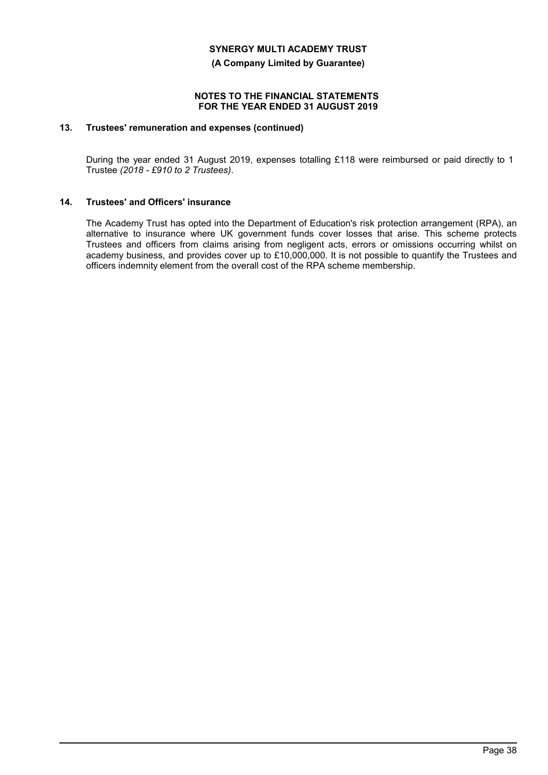**(A Company Limited by Guarantee)**

#### **NOTES TO THE FINANCIAL STATEMENTS FOR THE YEAR ENDED 31 AUGUST 2019**

# **13. Trustees' remuneration and expenses (continued)**

During the year ended 31 August 2019, expenses totalling £118 were reimbursed or paid directly to 1 Trustee *(2018 - £910 to 2 Trustees)*.

## **14. Trustees' and Officers' insurance**

The Academy Trust has opted into the Department of Education's risk protection arrangement (RPA), an alternative to insurance where UK government funds cover losses that arise. This scheme protects Trustees and officers from claims arising from negligent acts, errors or omissions occurring whilst on academy business, and provides cover up to £10,000,000. It is not possible to quantify the Trustees and officers indemnity element from the overall cost of the RPA scheme membership.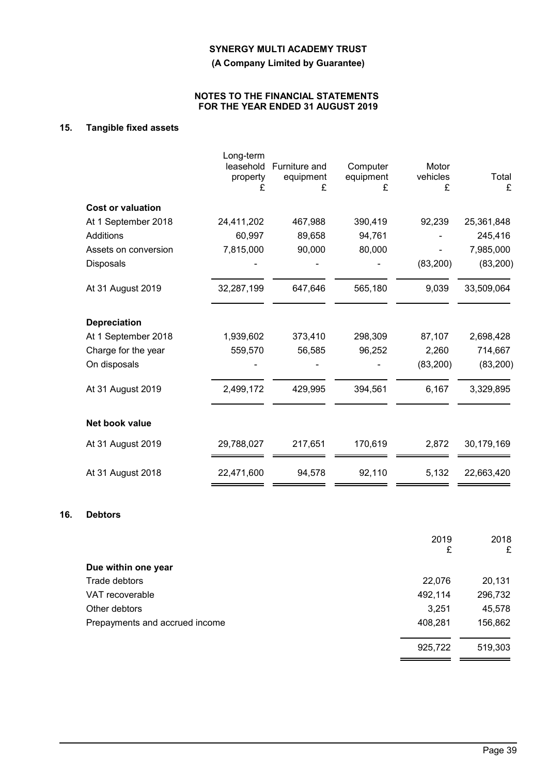**(A Company Limited by Guarantee)**

## **NOTES TO THE FINANCIAL STATEMENTS FOR THE YEAR ENDED 31 AUGUST 2019**

# **15. Tangible fixed assets**

|                          | Long-term<br>leasehold<br>property<br>£ | Furniture and<br>equipment<br>£ | Computer<br>equipment<br>£ | Motor<br>vehicles<br>£ | Total<br>£ |
|--------------------------|-----------------------------------------|---------------------------------|----------------------------|------------------------|------------|
| <b>Cost or valuation</b> |                                         |                                 |                            |                        |            |
| At 1 September 2018      | 24,411,202                              | 467,988                         | 390,419                    | 92,239                 | 25,361,848 |
| Additions                | 60,997                                  | 89,658                          | 94,761                     |                        | 245,416    |
| Assets on conversion     | 7,815,000                               | 90,000                          | 80,000                     |                        | 7,985,000  |
| Disposals                |                                         |                                 |                            | (83,200)               | (83, 200)  |
| At 31 August 2019        | 32,287,199                              | 647,646                         | 565,180                    | 9,039                  | 33,509,064 |
| <b>Depreciation</b>      |                                         |                                 |                            |                        |            |
| At 1 September 2018      | 1,939,602                               | 373,410                         | 298,309                    | 87,107                 | 2,698,428  |
| Charge for the year      | 559,570                                 | 56,585                          | 96,252                     | 2,260                  | 714,667    |
| On disposals             |                                         |                                 |                            | (83, 200)              | (83, 200)  |
| At 31 August 2019        | 2,499,172                               | 429,995                         | 394,561                    | 6,167                  | 3,329,895  |
| Net book value           |                                         |                                 |                            |                        |            |
| At 31 August 2019        | 29,788,027                              | 217,651                         | 170,619                    | 2,872                  | 30,179,169 |
| At 31 August 2018        | 22,471,600                              | 94,578                          | 92,110                     | 5,132                  | 22,663,420 |

## **16. Debtors**

|                                | 2019<br>£ | 2018<br>£ |
|--------------------------------|-----------|-----------|
| Due within one year            |           |           |
| Trade debtors                  | 22,076    | 20,131    |
| VAT recoverable                | 492,114   | 296,732   |
| Other debtors                  | 3,251     | 45,578    |
| Prepayments and accrued income | 408,281   | 156,862   |
|                                | 925,722   | 519,303   |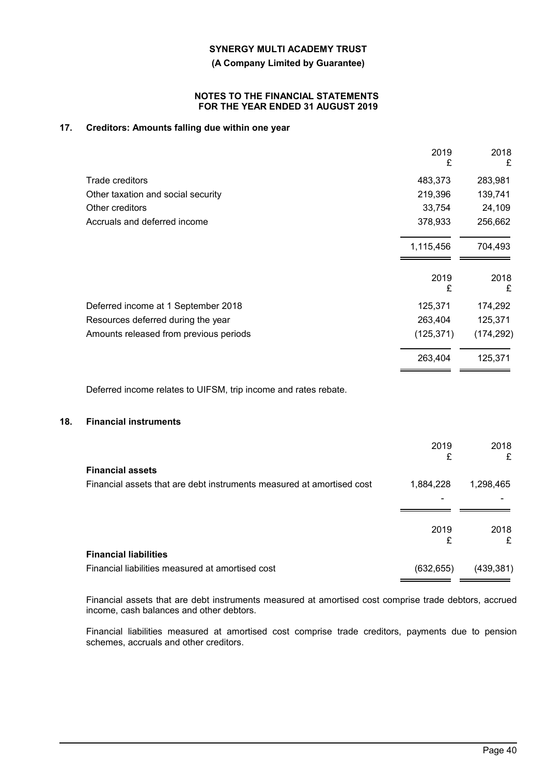**(A Company Limited by Guarantee)**

## **NOTES TO THE FINANCIAL STATEMENTS FOR THE YEAR ENDED 31 AUGUST 2019**

# **17. Creditors: Amounts falling due within one year**

|                                        | 2019<br>£  | 2018<br>£  |
|----------------------------------------|------------|------------|
| Trade creditors                        | 483,373    | 283,981    |
| Other taxation and social security     | 219,396    | 139,741    |
| Other creditors                        | 33,754     | 24,109     |
| Accruals and deferred income           | 378,933    | 256,662    |
|                                        | 1,115,456  | 704,493    |
|                                        | 2019<br>£  | 2018<br>£  |
| Deferred income at 1 September 2018    | 125,371    | 174,292    |
| Resources deferred during the year     | 263,404    | 125,371    |
| Amounts released from previous periods | (125, 371) | (174, 292) |
|                                        | 263,404    | 125,371    |
|                                        |            |            |

Deferred income relates to UIFSM, trip income and rates rebate.

## **18. Financial instruments**

|                                                                       | 2019<br>£  | 2018<br>£  |
|-----------------------------------------------------------------------|------------|------------|
| <b>Financial assets</b>                                               |            |            |
| Financial assets that are debt instruments measured at amortised cost | 1,884,228  | 1,298,465  |
|                                                                       |            |            |
|                                                                       |            |            |
|                                                                       | 2019       | 2018       |
| <b>Financial liabilities</b>                                          | £          | £          |
| Financial liabilities measured at amortised cost                      | (632, 655) | (439, 381) |

Financial assets that are debt instruments measured at amortised cost comprise trade debtors, accrued income, cash balances and other debtors.

Financial liabilities measured at amortised cost comprise trade creditors, payments due to pension schemes, accruals and other creditors.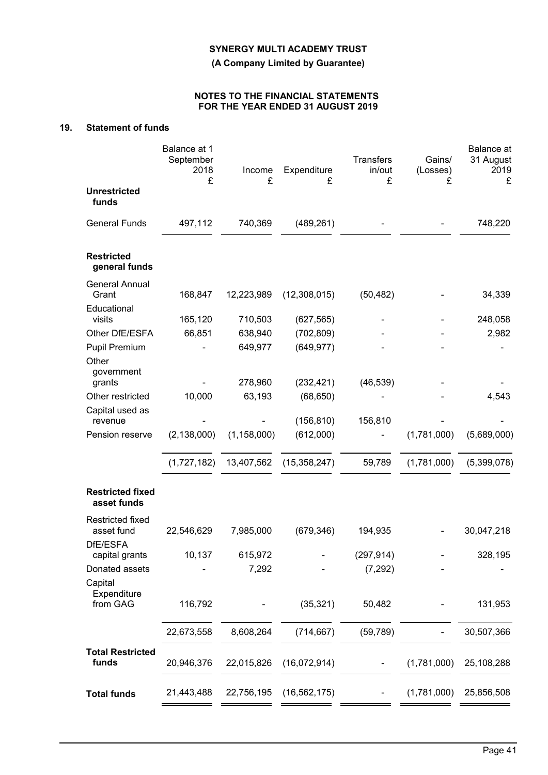**(A Company Limited by Guarantee)**

# **NOTES TO THE FINANCIAL STATEMENTS FOR THE YEAR ENDED 31 AUGUST 2019**

# **19. Statement of funds**

|                                        | Balance at 1<br>September<br>2018<br>£ | Income<br>£       | Expenditure<br>£        | <b>Transfers</b><br>in/out<br>£ | Gains/<br>(Losses)<br>£ | Balance at<br>31 August<br>2019<br>£ |
|----------------------------------------|----------------------------------------|-------------------|-------------------------|---------------------------------|-------------------------|--------------------------------------|
| <b>Unrestricted</b><br>funds           |                                        |                   |                         |                                 |                         |                                      |
| <b>General Funds</b>                   | 497,112                                | 740,369           | (489, 261)              |                                 |                         | 748,220                              |
| <b>Restricted</b><br>general funds     |                                        |                   |                         |                                 |                         |                                      |
| <b>General Annual</b><br>Grant         | 168,847                                | 12,223,989        | (12,308,015)            | (50, 482)                       |                         | 34,339                               |
| Educational<br>visits                  | 165,120                                | 710,503           | (627, 565)              |                                 |                         | 248,058                              |
| Other DfE/ESFA                         | 66,851                                 | 638,940           | (702, 809)              |                                 |                         | 2,982                                |
| Pupil Premium                          |                                        | 649,977           | (649, 977)              |                                 |                         |                                      |
| Other<br>government                    |                                        |                   |                         |                                 |                         |                                      |
| grants<br>Other restricted             | 10,000                                 | 278,960<br>63,193 | (232, 421)<br>(68, 650) | (46, 539)                       |                         | 4,543                                |
| Capital used as<br>revenue             |                                        |                   | (156, 810)              | 156,810                         |                         |                                      |
| Pension reserve                        | (2, 138, 000)                          | (1, 158, 000)     | (612,000)               |                                 | (1,781,000)             | (5,689,000)                          |
|                                        | (1,727,182)                            | 13,407,562        | (15, 358, 247)          | 59,789                          | (1,781,000)             | (5,399,078)                          |
| <b>Restricted fixed</b><br>asset funds |                                        |                   |                         |                                 |                         |                                      |
| Restricted fixed<br>asset fund         | 22,546,629                             | 7,985,000         | (679, 346)              | 194,935                         |                         | 30,047,218                           |
| DfE/ESFA<br>capital grants             | 10,137                                 | 615,972           |                         | (297, 914)                      |                         | 328,195                              |
| Donated assets<br>Capital              |                                        | 7,292             |                         | (7, 292)                        |                         |                                      |
| Expenditure<br>from GAG                | 116,792                                |                   | (35, 321)               | 50,482                          |                         | 131,953                              |
|                                        | 22,673,558                             | 8,608,264         | (714, 667)              | (59, 789)                       |                         | 30,507,366                           |
| <b>Total Restricted</b><br>funds       | 20,946,376                             | 22,015,826        | (16,072,914)            |                                 | (1,781,000)             | 25,108,288                           |
| <b>Total funds</b>                     | 21,443,488                             | 22,756,195        | (16, 562, 175)          |                                 | (1,781,000)             | 25,856,508                           |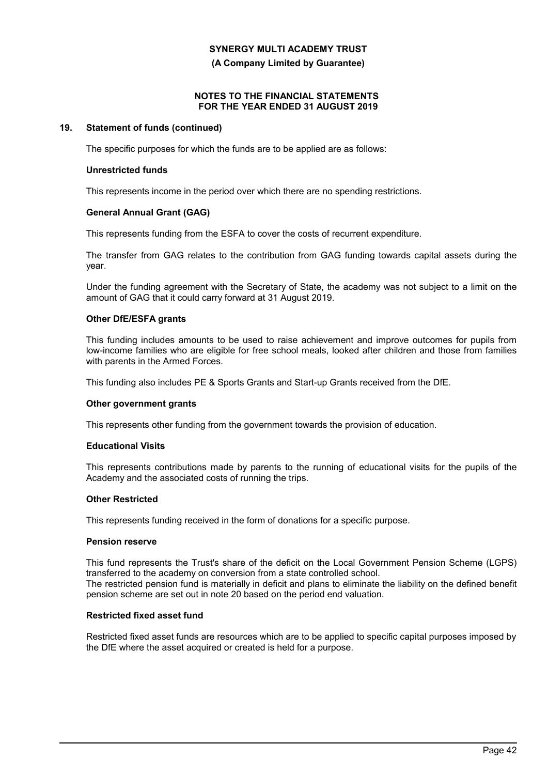**(A Company Limited by Guarantee)**

## **NOTES TO THE FINANCIAL STATEMENTS FOR THE YEAR ENDED 31 AUGUST 2019**

## **19. Statement of funds (continued)**

The specific purposes for which the funds are to be applied are as follows:

## **Unrestricted funds**

This represents income in the period over which there are no spending restrictions.

## **General Annual Grant (GAG)**

This represents funding from the ESFA to cover the costs of recurrent expenditure.

The transfer from GAG relates to the contribution from GAG funding towards capital assets during the year.

Under the funding agreement with the Secretary of State, the academy was not subject to a limit on the amount of GAG that it could carry forward at 31 August 2019.

# **Other DfE/ESFA grants**

This funding includes amounts to be used to raise achievement and improve outcomes for pupils from low-income families who are eligible for free school meals, looked after children and those from families with parents in the Armed Forces.

This funding also includes PE & Sports Grants and Start-up Grants received from the DfE.

#### **Other government grants**

This represents other funding from the government towards the provision of education.

#### **Educational Visits**

This represents contributions made by parents to the running of educational visits for the pupils of the Academy and the associated costs of running the trips.

# **Other Restricted**

This represents funding received in the form of donations for a specific purpose.

## **Pension reserve**

This fund represents the Trust's share of the deficit on the Local Government Pension Scheme (LGPS) transferred to the academy on conversion from a state controlled school. The restricted pension fund is materially in deficit and plans to eliminate the liability on the defined benefit pension scheme are set out in note 20 based on the period end valuation.

#### **Restricted fixed asset fund**

Restricted fixed asset funds are resources which are to be applied to specific capital purposes imposed by the DfE where the asset acquired or created is held for a purpose.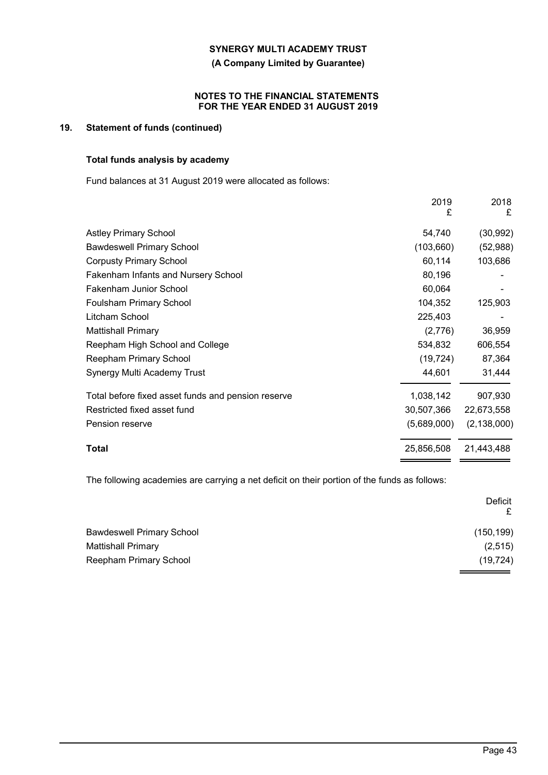**(A Company Limited by Guarantee)**

## **NOTES TO THE FINANCIAL STATEMENTS FOR THE YEAR ENDED 31 AUGUST 2019**

# **19. Statement of funds (continued)**

# **Total funds analysis by academy**

Fund balances at 31 August 2019 were allocated as follows:

|                                                                 | 2019<br>£  | 2018<br>£     |
|-----------------------------------------------------------------|------------|---------------|
| <b>Astley Primary School</b>                                    | 54,740     | (30, 992)     |
| <b>Bawdeswell Primary School</b>                                | (103, 660) | (52, 988)     |
| <b>Corpusty Primary School</b>                                  | 60,114     | 103,686       |
| <b>Fakenham Infants and Nursery School</b>                      | 80,196     |               |
| <b>Fakenham Junior School</b>                                   | 60,064     |               |
| <b>Foulsham Primary School</b>                                  | 104,352    | 125,903       |
| Litcham School                                                  | 225,403    |               |
| <b>Mattishall Primary</b>                                       | (2,776)    | 36,959        |
| Reepham High School and College                                 | 534,832    | 606,554       |
| Reepham Primary School                                          | (19, 724)  | 87,364        |
| Synergy Multi Academy Trust                                     | 44,601     | 31,444        |
| Total before fixed asset funds and pension reserve<br>1,038,142 |            | 907,930       |
| Restricted fixed asset fund<br>30,507,366                       |            | 22,673,558    |
| (5,689,000)<br>Pension reserve                                  |            | (2, 138, 000) |
| 25,856,508<br>Total                                             |            | 21,443,488    |

The following academies are carrying a net deficit on their portion of the funds as follows:

|                                  | Deficit<br>£ |
|----------------------------------|--------------|
| <b>Bawdeswell Primary School</b> | (150, 199)   |
| Mattishall Primary               | (2, 515)     |
| Reepham Primary School           | (19, 724)    |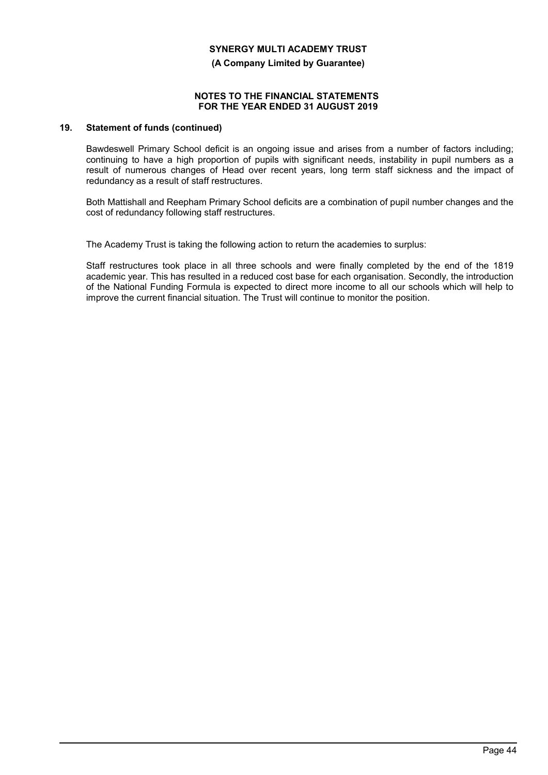**(A Company Limited by Guarantee)**

### **NOTES TO THE FINANCIAL STATEMENTS FOR THE YEAR ENDED 31 AUGUST 2019**

## **19. Statement of funds (continued)**

Bawdeswell Primary School deficit is an ongoing issue and arises from a number of factors including; continuing to have a high proportion of pupils with significant needs, instability in pupil numbers as a result of numerous changes of Head over recent years, long term staff sickness and the impact of redundancy as a result of staff restructures.

Both Mattishall and Reepham Primary School deficits are a combination of pupil number changes and the cost of redundancy following staff restructures.

The Academy Trust is taking the following action to return the academies to surplus:

Staff restructures took place in all three schools and were finally completed by the end of the 1819 academic year. This has resulted in a reduced cost base for each organisation. Secondly, the introduction of the National Funding Formula is expected to direct more income to all our schools which will help to improve the current financial situation. The Trust will continue to monitor the position.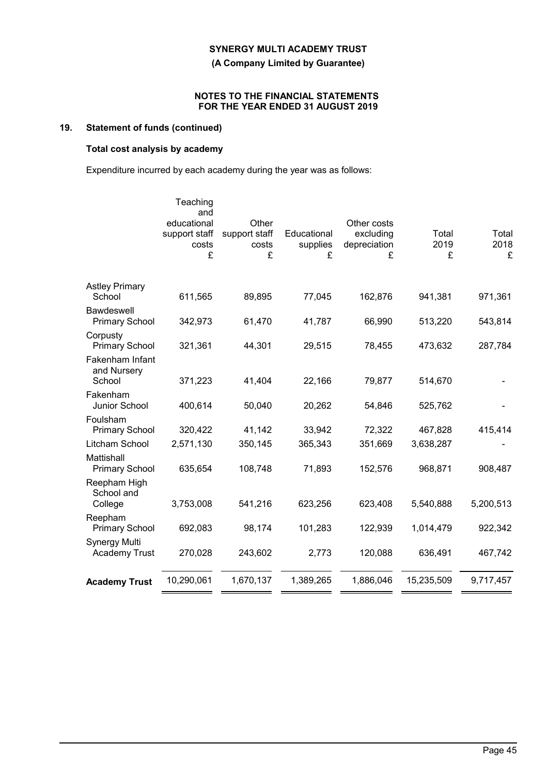**(A Company Limited by Guarantee)**

## **NOTES TO THE FINANCIAL STATEMENTS FOR THE YEAR ENDED 31 AUGUST 2019**

# **19. Statement of funds (continued)**

# **Total cost analysis by academy**

Expenditure incurred by each academy during the year was as follows:

|                                              | Teaching<br>and<br>educational<br>support staff<br>costs<br>£ | Other<br>support staff<br>costs<br>£ | Educational<br>supplies<br>£ | Other costs<br>excluding<br>depreciation<br>£ | Total<br>2019<br>£ | Total<br>2018<br>£ |
|----------------------------------------------|---------------------------------------------------------------|--------------------------------------|------------------------------|-----------------------------------------------|--------------------|--------------------|
| <b>Astley Primary</b><br>School              | 611,565                                                       | 89,895                               | 77,045                       | 162,876                                       | 941,381            | 971,361            |
| <b>Bawdeswell</b><br><b>Primary School</b>   | 342,973                                                       | 61,470                               | 41,787                       | 66,990                                        | 513,220            | 543,814            |
| Corpusty<br><b>Primary School</b>            | 321,361                                                       | 44,301                               | 29,515                       | 78,455                                        | 473,632            | 287,784            |
| Fakenham Infant<br>and Nursery<br>School     | 371,223                                                       | 41,404                               | 22,166                       | 79,877                                        | 514,670            |                    |
| Fakenham<br>Junior School                    | 400,614                                                       | 50,040                               | 20,262                       | 54,846                                        | 525,762            |                    |
| Foulsham<br><b>Primary School</b>            | 320,422                                                       | 41,142                               | 33,942                       | 72,322                                        | 467,828            | 415,414            |
| Litcham School                               | 2,571,130                                                     | 350,145                              | 365,343                      | 351,669                                       | 3,638,287          |                    |
| Mattishall<br><b>Primary School</b>          | 635,654                                                       | 108,748                              | 71,893                       | 152,576                                       | 968,871            | 908,487            |
| Reepham High<br>School and<br>College        | 3,753,008                                                     | 541,216                              | 623,256                      | 623,408                                       | 5,540,888          | 5,200,513          |
| Reepham<br><b>Primary School</b>             | 692,083                                                       | 98,174                               | 101,283                      | 122,939                                       | 1,014,479          | 922,342            |
| <b>Synergy Multi</b><br><b>Academy Trust</b> | 270,028                                                       | 243,602                              | 2,773                        | 120,088                                       | 636,491            | 467,742            |
| <b>Academy Trust</b>                         | 10,290,061                                                    | 1,670,137                            | 1,389,265                    | 1,886,046                                     | 15,235,509         | 9,717,457          |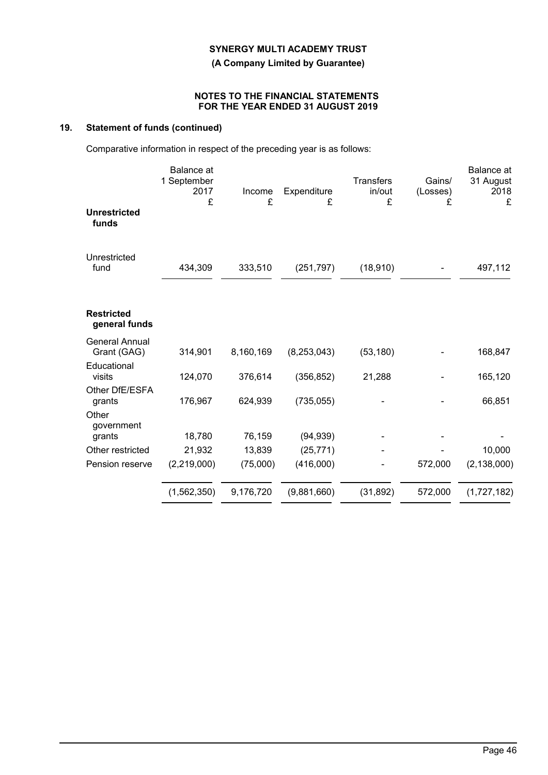**(A Company Limited by Guarantee)**

## **NOTES TO THE FINANCIAL STATEMENTS FOR THE YEAR ENDED 31 AUGUST 2019**

# **19. Statement of funds (continued)**

Comparative information in respect of the preceding year is as follows:

|                                      | <b>Balance</b> at<br>1 September<br>2017<br>£ | Income<br>£ | Expenditure<br>£ | <b>Transfers</b><br>in/out<br>£ | Gains/<br>(Losses)<br>£ | Balance at<br>31 August<br>2018<br>£ |
|--------------------------------------|-----------------------------------------------|-------------|------------------|---------------------------------|-------------------------|--------------------------------------|
| <b>Unrestricted</b><br>funds         |                                               |             |                  |                                 |                         |                                      |
| Unrestricted<br>fund                 | 434,309                                       | 333,510     | (251, 797)       | (18, 910)                       |                         | 497,112                              |
| <b>Restricted</b><br>general funds   |                                               |             |                  |                                 |                         |                                      |
| <b>General Annual</b><br>Grant (GAG) | 314,901                                       | 8,160,169   | (8, 253, 043)    | (53, 180)                       |                         | 168,847                              |
| Educational<br>visits                | 124,070                                       | 376,614     | (356, 852)       | 21,288                          |                         | 165,120                              |
| Other DfE/ESFA<br>grants             | 176,967                                       | 624,939     | (735, 055)       |                                 |                         | 66,851                               |
| Other<br>government<br>grants        | 18,780                                        | 76,159      | (94, 939)        |                                 |                         |                                      |
| Other restricted                     | 21,932                                        | 13,839      | (25, 771)        |                                 |                         | 10,000                               |
| Pension reserve                      | (2,219,000)                                   | (75,000)    | (416,000)        |                                 | 572,000                 | (2, 138, 000)                        |
|                                      | (1,562,350)                                   | 9,176,720   | (9,881,660)      | (31, 892)                       | 572,000                 | (1,727,182)                          |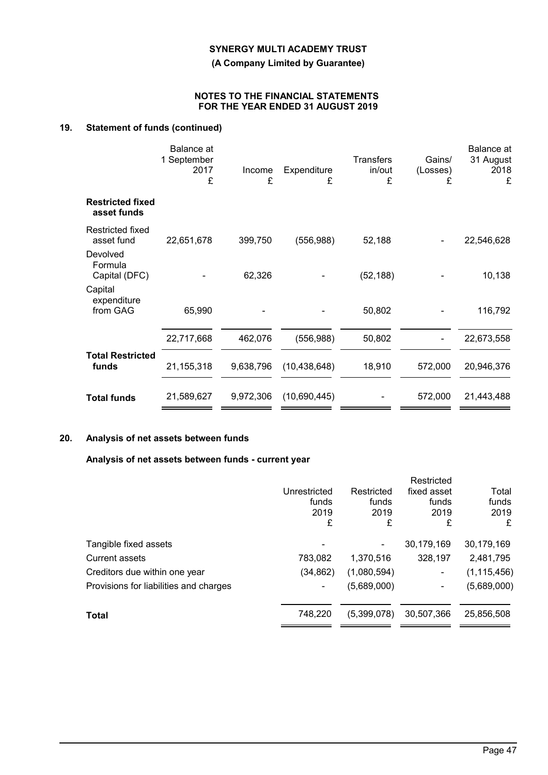**(A Company Limited by Guarantee)**

## **NOTES TO THE FINANCIAL STATEMENTS FOR THE YEAR ENDED 31 AUGUST 2019**

# **19. Statement of funds (continued)**

|                                        | Balance at<br>1 September<br>2017<br>£ | Income<br>£ | Expenditure<br>£ | <b>Transfers</b><br>in/out<br>£ | Gains/<br>(Losses)<br>£ | <b>Balance</b> at<br>31 August<br>2018<br>£ |
|----------------------------------------|----------------------------------------|-------------|------------------|---------------------------------|-------------------------|---------------------------------------------|
| <b>Restricted fixed</b><br>asset funds |                                        |             |                  |                                 |                         |                                             |
| <b>Restricted fixed</b><br>asset fund  | 22,651,678                             | 399,750     | (556, 988)       | 52,188                          |                         | 22,546,628                                  |
| Devolved<br>Formula<br>Capital (DFC)   |                                        | 62,326      |                  | (52, 188)                       |                         | 10,138                                      |
| Capital<br>expenditure<br>from GAG     | 65,990                                 |             |                  | 50,802                          |                         | 116,792                                     |
|                                        | 22,717,668                             | 462,076     | (556,988)        | 50,802                          |                         | 22,673,558                                  |
| <b>Total Restricted</b><br>funds       | 21,155,318                             | 9,638,796   | (10, 438, 648)   | 18,910                          | 572,000                 | 20,946,376                                  |
| <b>Total funds</b>                     | 21,589,627                             | 9,972,306   | (10,690,445)     |                                 | 572,000                 | 21,443,488                                  |

# **20. Analysis of net assets between funds**

# **Analysis of net assets between funds - current year**

|                                        |              |             | Restricted  |               |
|----------------------------------------|--------------|-------------|-------------|---------------|
|                                        | Unrestricted | Restricted  | fixed asset | Total         |
|                                        | funds        | funds       | funds       | funds         |
|                                        | 2019         | 2019        | 2019        | 2019          |
|                                        | £            | £           | £           | £             |
| Tangible fixed assets                  | ۰            |             | 30,179,169  | 30,179,169    |
| <b>Current assets</b>                  | 783,082      | 1,370,516   | 328,197     | 2,481,795     |
| Creditors due within one year          | (34, 862)    | (1,080,594) | ۰           | (1, 115, 456) |
| Provisions for liabilities and charges |              | (5,689,000) | ۰           | (5,689,000)   |
| <b>Total</b>                           | 748,220      | (5,399,078) | 30,507,366  | 25,856,508    |
|                                        |              |             |             |               |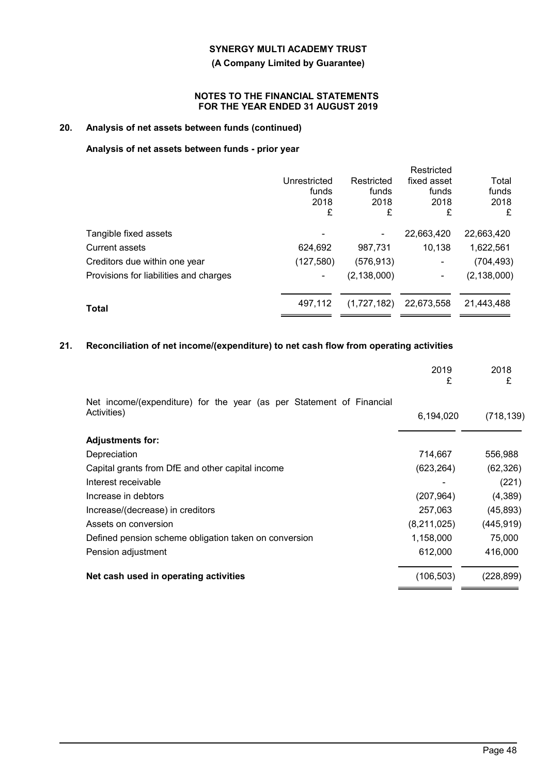# **(A Company Limited by Guarantee)**

## **NOTES TO THE FINANCIAL STATEMENTS FOR THE YEAR ENDED 31 AUGUST 2019**

# **20. Analysis of net assets between funds (continued)**

# **Analysis of net assets between funds - prior year**

|                                        |              |               | Restricted               |               |
|----------------------------------------|--------------|---------------|--------------------------|---------------|
|                                        | Unrestricted | Restricted    | fixed asset              | Total         |
|                                        | funds        | funds         | funds                    | funds         |
|                                        | 2018         | 2018          | 2018                     | 2018          |
|                                        | £            | £             | £                        | £             |
| Tangible fixed assets                  |              |               | 22,663,420               | 22,663,420    |
| <b>Current assets</b>                  | 624,692      | 987,731       | 10,138                   | 1,622,561     |
| Creditors due within one year          | (127, 580)   | (576, 913)    | -                        | (704, 493)    |
| Provisions for liabilities and charges |              | (2, 138, 000) | $\overline{\phantom{0}}$ | (2, 138, 000) |
| Total                                  | 497.112      | (1,727,182)   | 22,673,558               | 21,443,488    |
|                                        |              |               |                          |               |

# **21. Reconciliation of net income/(expenditure) to net cash flow from operating activities**

|                                                                                     | 2019<br>£   | 2018<br>£  |
|-------------------------------------------------------------------------------------|-------------|------------|
| Net income/(expenditure) for the year (as per Statement of Financial<br>Activities) | 6,194,020   | (718, 139) |
|                                                                                     |             |            |
| <b>Adjustments for:</b>                                                             |             |            |
| Depreciation                                                                        | 714,667     | 556,988    |
| Capital grants from DfE and other capital income                                    | (623, 264)  | (62, 326)  |
| Interest receivable                                                                 |             | (221)      |
| Increase in debtors                                                                 | (207, 964)  | (4,389)    |
| Increase/(decrease) in creditors                                                    | 257,063     | (45, 893)  |
| Assets on conversion                                                                | (8,211,025) | (445, 919) |
| Defined pension scheme obligation taken on conversion                               | 1,158,000   | 75,000     |
| Pension adjustment                                                                  | 612,000     | 416,000    |
| Net cash used in operating activities                                               | (106, 503)  | (228, 899) |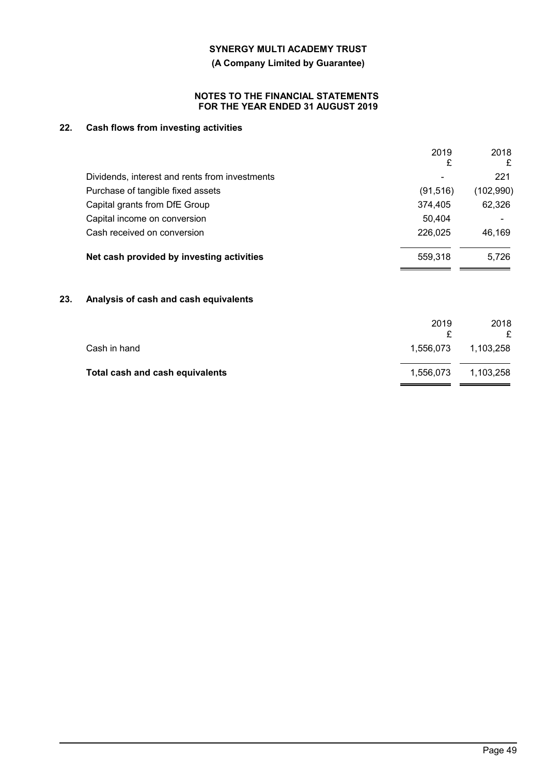**(A Company Limited by Guarantee)**

## **NOTES TO THE FINANCIAL STATEMENTS FOR THE YEAR ENDED 31 AUGUST 2019**

# **22. Cash flows from investing activities**

|                                                | 2019      | 2018       |
|------------------------------------------------|-----------|------------|
|                                                | £         | £          |
| Dividends, interest and rents from investments | -         | 221        |
| Purchase of tangible fixed assets              | (91, 516) | (102, 990) |
| Capital grants from DfE Group                  | 374,405   | 62,326     |
| Capital income on conversion                   | 50.404    |            |
| Cash received on conversion                    | 226,025   | 46.169     |
| Net cash provided by investing activities      | 559,318   | 5.726      |

# **23. Analysis of cash and cash equivalents**

|                                 | 2019      | 2018<br>£ |
|---------------------------------|-----------|-----------|
| Cash in hand                    | 1.556.073 | 1.103.258 |
| Total cash and cash equivalents | 1.556.073 | 1,103,258 |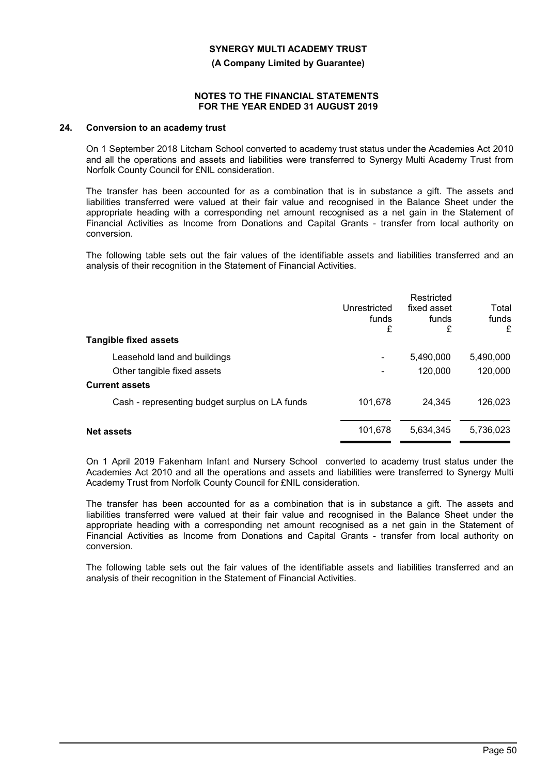**(A Company Limited by Guarantee)**

#### **NOTES TO THE FINANCIAL STATEMENTS FOR THE YEAR ENDED 31 AUGUST 2019**

#### **24. Conversion to an academy trust**

On 1 September 2018 Litcham School converted to academy trust status under the Academies Act 2010 and all the operations and assets and liabilities were transferred to Synergy Multi Academy Trust from Norfolk County Council for £NIL consideration.

The transfer has been accounted for as a combination that is in substance a gift. The assets and liabilities transferred were valued at their fair value and recognised in the Balance Sheet under the appropriate heading with a corresponding net amount recognised as a net gain in the Statement of Financial Activities as Income from Donations and Capital Grants - transfer from local authority on conversion.

The following table sets out the fair values of the identifiable assets and liabilities transferred and an analysis of their recognition in the Statement of Financial Activities.

| <b>Tangible fixed assets</b>                   | Unrestricted<br>funds<br>£ | Restricted<br>fixed asset<br>funds<br>£ | Total<br>funds<br>£ |
|------------------------------------------------|----------------------------|-----------------------------------------|---------------------|
| Leasehold land and buildings                   | ۰                          | 5,490,000                               | 5,490,000           |
| Other tangible fixed assets                    |                            | 120,000                                 | 120,000             |
| <b>Current assets</b>                          |                            |                                         |                     |
| Cash - representing budget surplus on LA funds | 101,678                    | 24.345                                  | 126,023             |
| <b>Net assets</b>                              | 101,678                    | 5.634.345                               | 5,736,023           |

On 1 April 2019 Fakenham Infant and Nursery School converted to academy trust status under the Academies Act 2010 and all the operations and assets and liabilities were transferred to Synergy Multi Academy Trust from Norfolk County Council for £NIL consideration.

The transfer has been accounted for as a combination that is in substance a gift. The assets and liabilities transferred were valued at their fair value and recognised in the Balance Sheet under the appropriate heading with a corresponding net amount recognised as a net gain in the Statement of Financial Activities as Income from Donations and Capital Grants - transfer from local authority on conversion.

The following table sets out the fair values of the identifiable assets and liabilities transferred and an analysis of their recognition in the Statement of Financial Activities.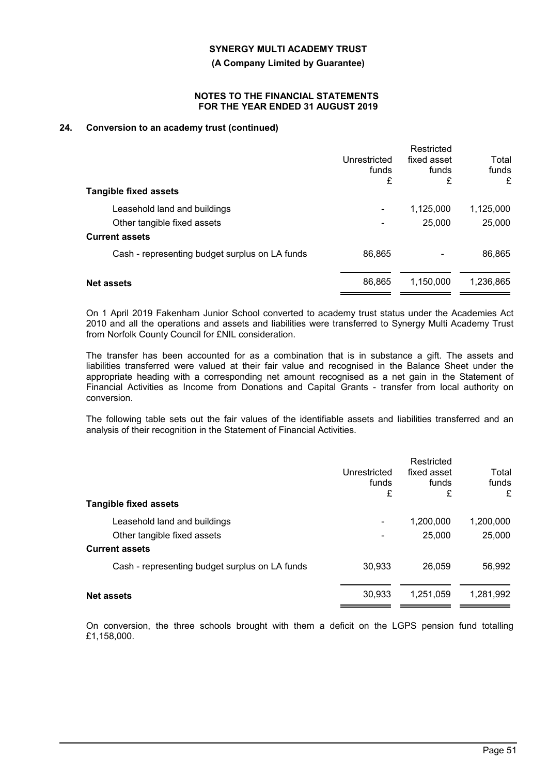**(A Company Limited by Guarantee)**

#### **NOTES TO THE FINANCIAL STATEMENTS FOR THE YEAR ENDED 31 AUGUST 2019**

# **24. Conversion to an academy trust (continued)**

| <b>Tangible fixed assets</b>                   | Unrestricted<br>funds<br>£ | Restricted<br>fixed asset<br>funds<br>£ | Total<br>funds<br>£ |
|------------------------------------------------|----------------------------|-----------------------------------------|---------------------|
|                                                |                            |                                         |                     |
| Leasehold land and buildings                   |                            | 1,125,000                               | 1,125,000           |
| Other tangible fixed assets                    |                            | 25,000                                  | 25,000              |
| <b>Current assets</b>                          |                            |                                         |                     |
| Cash - representing budget surplus on LA funds | 86,865                     |                                         | 86,865              |
|                                                |                            |                                         |                     |
| <b>Net assets</b>                              | 86,865                     | 1,150,000                               | 1,236,865           |
|                                                |                            |                                         |                     |

On 1 April 2019 Fakenham Junior School converted to academy trust status under the Academies Act 2010 and all the operations and assets and liabilities were transferred to Synergy Multi Academy Trust from Norfolk County Council for £NIL consideration.

The transfer has been accounted for as a combination that is in substance a gift. The assets and liabilities transferred were valued at their fair value and recognised in the Balance Sheet under the appropriate heading with a corresponding net amount recognised as a net gain in the Statement of Financial Activities as Income from Donations and Capital Grants - transfer from local authority on conversion.

The following table sets out the fair values of the identifiable assets and liabilities transferred and an analysis of their recognition in the Statement of Financial Activities.

| <b>Tangible fixed assets</b>                                | Unrestricted<br>funds<br>£ | Restricted<br>fixed asset<br>funds<br>£ | Total<br>funds<br>£ |
|-------------------------------------------------------------|----------------------------|-----------------------------------------|---------------------|
| Leasehold land and buildings<br>Other tangible fixed assets |                            | 1,200,000<br>25,000                     | 1,200,000<br>25,000 |
| <b>Current assets</b>                                       |                            |                                         |                     |
| Cash - representing budget surplus on LA funds              | 30,933                     | 26,059                                  | 56,992              |
| <b>Net assets</b>                                           | 30,933                     | 1,251,059                               | 1,281,992           |

On conversion, the three schools brought with them a deficit on the LGPS pension fund totalling £1,158,000.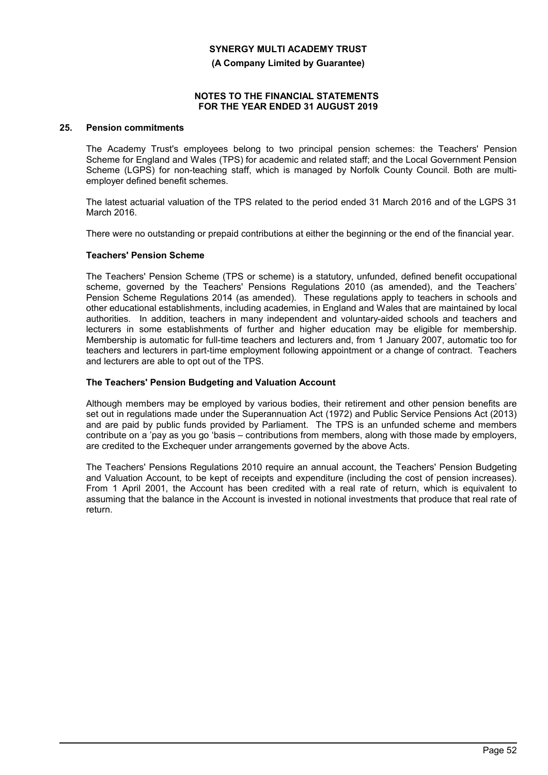**(A Company Limited by Guarantee)**

#### **NOTES TO THE FINANCIAL STATEMENTS FOR THE YEAR ENDED 31 AUGUST 2019**

## **25. Pension commitments**

The Academy Trust's employees belong to two principal pension schemes: the Teachers' Pension Scheme for England and Wales (TPS) for academic and related staff; and the Local Government Pension Scheme (LGPS) for non-teaching staff, which is managed by Norfolk County Council. Both are multiemployer defined benefit schemes.

The latest actuarial valuation of the TPS related to the period ended 31 March 2016 and of the LGPS 31 March 2016.

There were no outstanding or prepaid contributions at either the beginning or the end of the financial year.

#### **Teachers' Pension Scheme**

The Teachers' Pension Scheme (TPS or scheme) is a statutory, unfunded, defined benefit occupational scheme, governed by the Teachers' Pensions Regulations 2010 (as amended), and the Teachers' Pension Scheme Regulations 2014 (as amended). These regulations apply to teachers in schools and other educational establishments, including academies, in England and Wales that are maintained by local authorities. In addition, teachers in many independent and voluntary-aided schools and teachers and lecturers in some establishments of further and higher education may be eligible for membership. Membership is automatic for full-time teachers and lecturers and, from 1 January 2007, automatic too for teachers and lecturers in part-time employment following appointment or a change of contract. Teachers and lecturers are able to opt out of the TPS.

#### **The Teachers' Pension Budgeting and Valuation Account**

Although members may be employed by various bodies, their retirement and other pension benefits are set out in regulations made under the Superannuation Act (1972) and Public Service Pensions Act (2013) and are paid by public funds provided by Parliament. The TPS is an unfunded scheme and members contribute on a 'pay as you go 'basis – contributions from members, along with those made by employers, are credited to the Exchequer under arrangements governed by the above Acts.

The Teachers' Pensions Regulations 2010 require an annual account, the Teachers' Pension Budgeting and Valuation Account, to be kept of receipts and expenditure (including the cost of pension increases). From 1 April 2001, the Account has been credited with a real rate of return, which is equivalent to assuming that the balance in the Account is invested in notional investments that produce that real rate of return.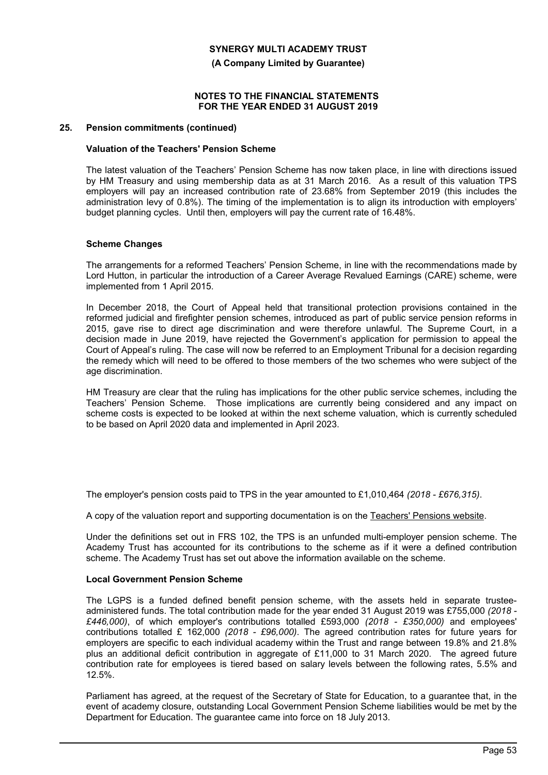**(A Company Limited by Guarantee)**

#### **NOTES TO THE FINANCIAL STATEMENTS FOR THE YEAR ENDED 31 AUGUST 2019**

## **25. Pension commitments (continued)**

### **Valuation of the Teachers' Pension Scheme**

The latest valuation of the Teachers' Pension Scheme has now taken place, in line with directions issued by HM Treasury and using membership data as at 31 March 2016. As a result of this valuation TPS employers will pay an increased contribution rate of 23.68% from September 2019 (this includes the administration levy of 0.8%). The timing of the implementation is to align its introduction with employers' budget planning cycles. Until then, employers will pay the current rate of 16.48%.

#### **Scheme Changes**

The arrangements for a reformed Teachers' Pension Scheme, in line with the recommendations made by Lord Hutton, in particular the introduction of a Career Average Revalued Earnings (CARE) scheme, were implemented from 1 April 2015.

In December 2018, the Court of Appeal held that transitional protection provisions contained in the reformed judicial and firefighter pension schemes, introduced as part of public service pension reforms in 2015, gave rise to direct age discrimination and were therefore unlawful. The Supreme Court, in a decision made in June 2019, have rejected the Government's application for permission to appeal the Court of Appeal's ruling. The case will now be referred to an Employment Tribunal for a decision regarding the remedy which will need to be offered to those members of the two schemes who were subject of the age discrimination.

HM Treasury are clear that the ruling has implications for the other public service schemes, including the Teachers' Pension Scheme. Those implications are currently being considered and any impact on scheme costs is expected to be looked at within the next scheme valuation, which is currently scheduled to be based on April 2020 data and implemented in April 2023.

The employer's pension costs paid to TPS in the year amounted to £1,010,464 *(2018 - £676,315)*.

A copy of the valuation report and supporting documentation is on the Teachers' Pensions website.

Under the definitions set out in FRS 102, the TPS is an unfunded multi-employer pension scheme. The Academy Trust has accounted for its contributions to the scheme as if it were a defined contribution scheme. The Academy Trust has set out above the information available on the scheme.

## **Local Government Pension Scheme**

The LGPS is a funded defined benefit pension scheme, with the assets held in separate trusteeadministered funds. The total contribution made for the year ended 31 August 2019 was £755,000 *(2018 - £446,000)*, of which employer's contributions totalled £593,000 *(2018 - £350,000)* and employees' contributions totalled £ 162,000 *(2018 - £96,000)*. The agreed contribution rates for future years for employers are specific to each individual academy within the Trust and range between 19.8% and 21.8% plus an additional deficit contribution in aggregate of £11,000 to 31 March 2020. The agreed future contribution rate for employees is tiered based on salary levels between the following rates, 5.5% and 12.5%.

Parliament has agreed, at the request of the Secretary of State for Education, to a guarantee that, in the event of academy closure, outstanding Local Government Pension Scheme liabilities would be met by the Department for Education. The guarantee came into force on 18 July 2013.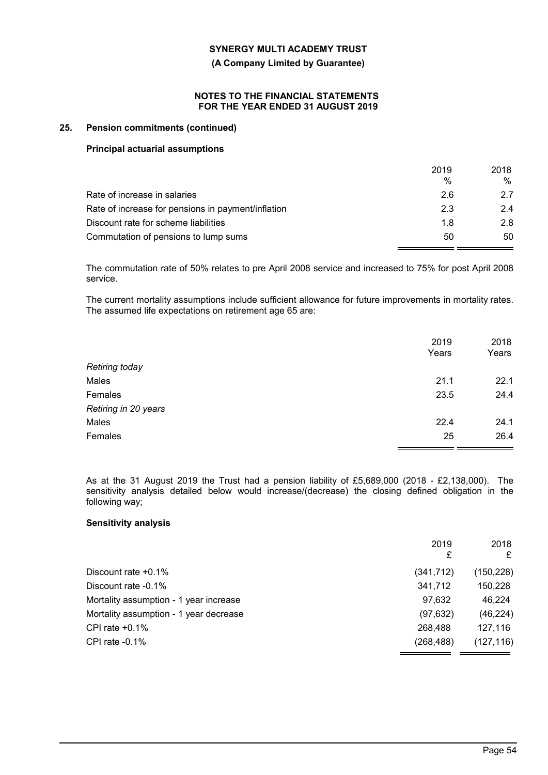**(A Company Limited by Guarantee)**

## **NOTES TO THE FINANCIAL STATEMENTS FOR THE YEAR ENDED 31 AUGUST 2019**

## **25. Pension commitments (continued)**

#### **Principal actuarial assumptions**

|                                                    | 2019<br>$\%$ | 2018<br>% |
|----------------------------------------------------|--------------|-----------|
| Rate of increase in salaries                       | 26           | 27        |
| Rate of increase for pensions in payment/inflation | 2.3          | 2.4       |
| Discount rate for scheme liabilities               | 1.8          | 2.8       |
| Commutation of pensions to lump sums               | 50           | 50        |

The commutation rate of 50% relates to pre April 2008 service and increased to 75% for post April 2008 service.

The current mortality assumptions include sufficient allowance for future improvements in mortality rates. The assumed life expectations on retirement age 65 are:

|                       | 2019  | 2018  |
|-----------------------|-------|-------|
|                       | Years | Years |
| <b>Retiring today</b> |       |       |
| Males                 | 21.1  | 22.1  |
| Females               | 23.5  | 24.4  |
| Retiring in 20 years  |       |       |
| Males                 | 22.4  | 24.1  |
| Females               | 25    | 26.4  |

As at the 31 August 2019 the Trust had a pension liability of £5,689,000 (2018 - £2,138,000). The sensitivity analysis detailed below would increase/(decrease) the closing defined obligation in the following way;

#### **Sensitivity analysis**

|                                        | 2019<br>£  | 2018<br>£  |
|----------------------------------------|------------|------------|
| Discount rate $+0.1\%$                 | (341, 712) | (150, 228) |
| Discount rate -0.1%                    | 341,712    | 150,228    |
| Mortality assumption - 1 year increase | 97,632     | 46,224     |
| Mortality assumption - 1 year decrease | (97, 632)  | (46, 224)  |
| CPI rate $+0.1\%$                      | 268,488    | 127,116    |
| CPI rate $-0.1\%$                      | (268, 488) | (127, 116) |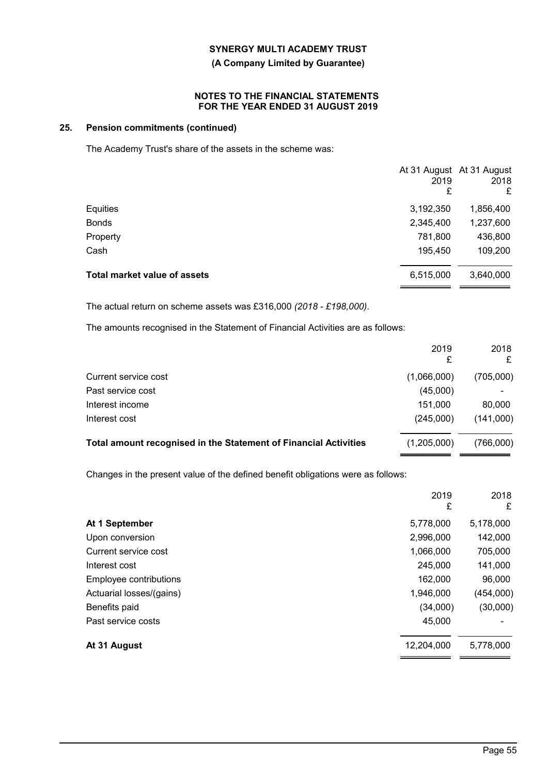# **(A Company Limited by Guarantee)**

## **NOTES TO THE FINANCIAL STATEMENTS FOR THE YEAR ENDED 31 AUGUST 2019**

# **25. Pension commitments (continued)**

The Academy Trust's share of the assets in the scheme was:

|                                     | At 31 August At 31 August<br>2019<br>£ | 2018<br>£ |
|-------------------------------------|----------------------------------------|-----------|
| Equities                            | 3,192,350                              | 1,856,400 |
| <b>Bonds</b>                        | 2,345,400                              | 1,237,600 |
| Property                            | 781,800                                | 436,800   |
| Cash                                | 195,450                                | 109,200   |
| <b>Total market value of assets</b> | 6,515,000                              | 3,640,000 |

The actual return on scheme assets was £316,000 *(2018 - £198,000)*.

The amounts recognised in the Statement of Financial Activities are as follows:

|                                                                  | 2019        | 2018<br>£ |
|------------------------------------------------------------------|-------------|-----------|
| Current service cost                                             | (1,066,000) | (705,000) |
| Past service cost                                                | (45,000)    |           |
| Interest income                                                  | 151,000     | 80,000    |
| Interest cost                                                    | (245,000)   | (141,000) |
| Total amount recognised in the Statement of Financial Activities | (1,205,000) | (766,000) |

Changes in the present value of the defined benefit obligations were as follows:

|                          | 2019<br>£  | 2018<br>£ |
|--------------------------|------------|-----------|
| At 1 September           | 5,778,000  | 5,178,000 |
| Upon conversion          | 2,996,000  | 142,000   |
| Current service cost     | 1,066,000  | 705,000   |
| Interest cost            | 245,000    | 141,000   |
| Employee contributions   | 162,000    | 96,000    |
| Actuarial losses/(gains) | 1,946,000  | (454,000) |
| Benefits paid            | (34,000)   | (30,000)  |
| Past service costs       | 45,000     |           |
| At 31 August             | 12,204,000 | 5,778,000 |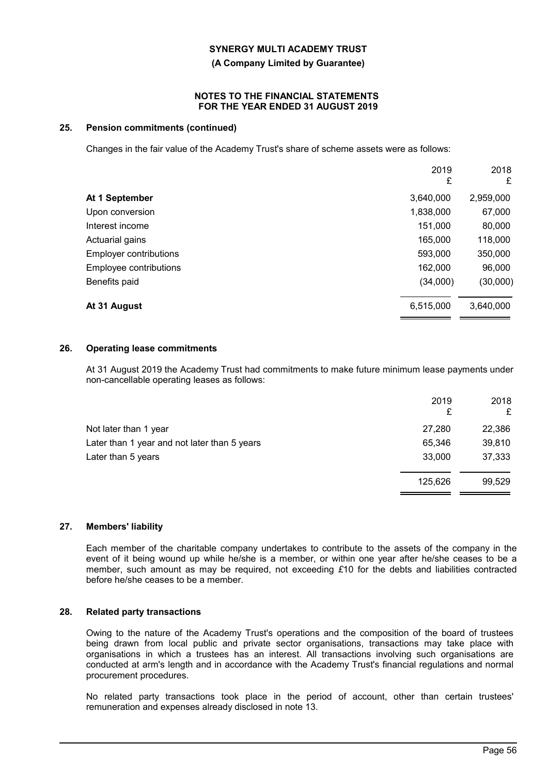#### **(A Company Limited by Guarantee)**

#### **NOTES TO THE FINANCIAL STATEMENTS FOR THE YEAR ENDED 31 AUGUST 2019**

## **25. Pension commitments (continued)**

Changes in the fair value of the Academy Trust's share of scheme assets were as follows:

|                               | 2019<br>£ | 2018<br>£ |
|-------------------------------|-----------|-----------|
| At 1 September                | 3,640,000 | 2,959,000 |
| Upon conversion               | 1,838,000 | 67,000    |
| Interest income               | 151,000   | 80,000    |
| Actuarial gains               | 165,000   | 118,000   |
| <b>Employer contributions</b> | 593,000   | 350,000   |
| Employee contributions        | 162,000   | 96,000    |
| Benefits paid                 | (34,000)  | (30,000)  |
| At 31 August                  | 6,515,000 | 3,640,000 |

## **26. Operating lease commitments**

At 31 August 2019 the Academy Trust had commitments to make future minimum lease payments under non-cancellable operating leases as follows:

|                                              | 2019<br>£ | 2018<br>£ |
|----------------------------------------------|-----------|-----------|
| Not later than 1 year                        | 27,280    | 22,386    |
| Later than 1 year and not later than 5 years | 65,346    | 39,810    |
| Later than 5 years                           | 33,000    | 37,333    |
|                                              | 125,626   | 99,529    |

#### **27. Members' liability**

Each member of the charitable company undertakes to contribute to the assets of the company in the event of it being wound up while he/she is a member, or within one year after he/she ceases to be a member, such amount as may be required, not exceeding *£*10 for the debts and liabilities contracted before he/she ceases to be a member.

#### **28. Related party transactions**

Owing to the nature of the Academy Trust's operations and the composition of the board of trustees being drawn from local public and private sector organisations, transactions may take place with organisations in which a trustees has an interest. All transactions involving such organisations are conducted at arm's length and in accordance with the Academy Trust's financial regulations and normal procurement procedures.

No related party transactions took place in the period of account, other than certain trustees' remuneration and expenses already disclosed in note 13.